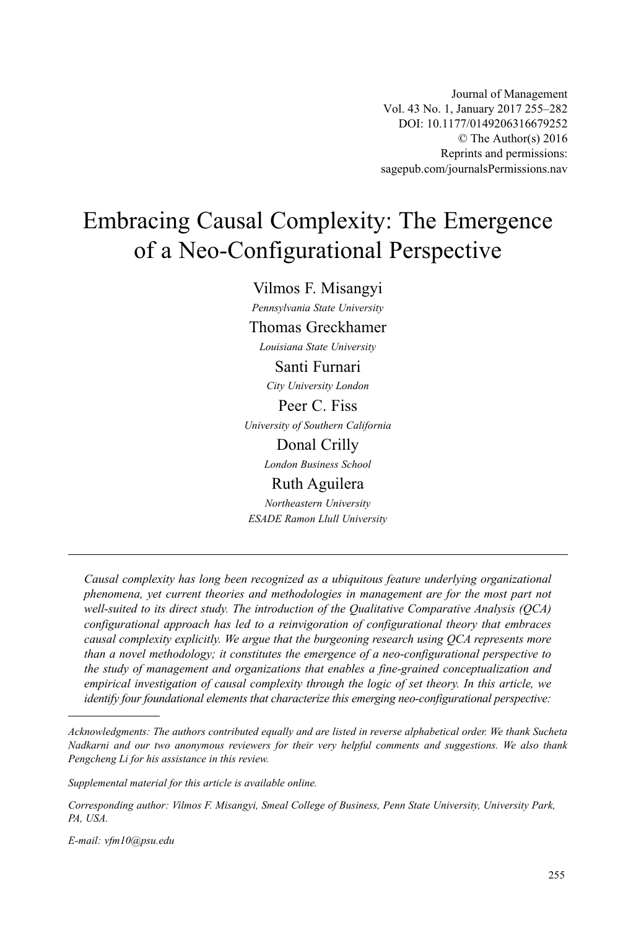Journal of Management Vol. 43 No. 1, January 2017 255–282 DOI: 10.1177/0149206316679252 © The Author(s) 2016 Reprints and permissions: sagepub.com/journalsPermissions.nav

# Embracing Causal Complexity: The Emergence of a Neo-Configurational Perspective

Vilmos F. Misangyi

*Pennsylvania State University*

Thomas Greckhamer

*Louisiana State University*

## Santi Furnari

*City University London*

Peer C. Fiss *University of Southern California*

Donal Crilly

*London Business School*

## Ruth Aguilera

*Northeastern University ESADE Ramon Llull University*

*Causal complexity has long been recognized as a ubiquitous feature underlying organizational phenomena, yet current theories and methodologies in management are for the most part not well-suited to its direct study. The introduction of the Qualitative Comparative Analysis (QCA) configurational approach has led to a reinvigoration of configurational theory that embraces causal complexity explicitly. We argue that the burgeoning research using QCA represents more than a novel methodology; it constitutes the emergence of a neo-configurational perspective to the study of management and organizations that enables a fine-grained conceptualization and empirical investigation of causal complexity through the logic of set theory. In this article, we identify four foundational elements that characterize this emerging neo-configurational perspective:* 

*Supplemental material for this article is available online.*

*E-mail: [vfm10@psu.edu](mailto:vfm10@psu.edu)*

*Acknowledgments: The authors contributed equally and are listed in reverse alphabetical order. We thank Sucheta Nadkarni and our two anonymous reviewers for their very helpful comments and suggestions. We also thank Pengcheng Li for his assistance in this review.*

*Corresponding author: Vilmos F. Misangyi, Smeal College of Business, Penn State University, University Park, PA, USA.*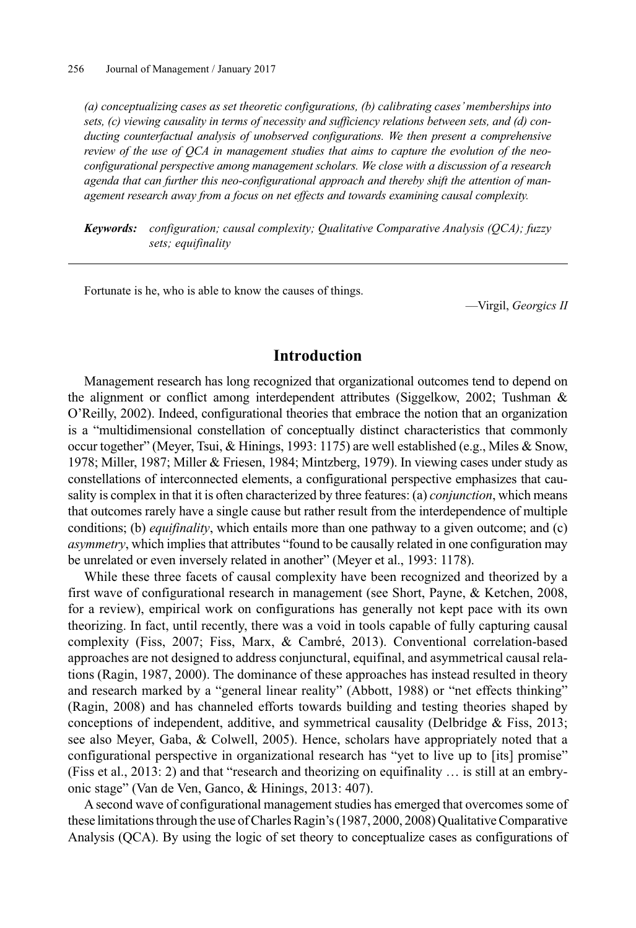*(a) conceptualizing cases as set theoretic configurations, (b) calibrating cases' memberships into sets, (c) viewing causality in terms of necessity and sufficiency relations between sets, and (d) conducting counterfactual analysis of unobserved configurations. We then present a comprehensive review of the use of QCA in management studies that aims to capture the evolution of the neoconfigurational perspective among management scholars. We close with a discussion of a research agenda that can further this neo-configurational approach and thereby shift the attention of management research away from a focus on net effects and towards examining causal complexity.*

*Keywords: configuration; causal complexity; Qualitative Comparative Analysis (QCA); fuzzy sets; equifinality*

Fortunate is he, who is able to know the causes of things.

—Virgil, *Georgics II*

## **Introduction**

Management research has long recognized that organizational outcomes tend to depend on the alignment or conflict among interdependent attributes (Siggelkow, 2002; Tushman & O'Reilly, 2002). Indeed, configurational theories that embrace the notion that an organization is a "multidimensional constellation of conceptually distinct characteristics that commonly occur together" (Meyer, Tsui, & Hinings, 1993: 1175) are well established (e.g., Miles & Snow, 1978; Miller, 1987; Miller & Friesen, 1984; Mintzberg, 1979). In viewing cases under study as constellations of interconnected elements, a configurational perspective emphasizes that causality is complex in that it is often characterized by three features: (a) *conjunction*, which means that outcomes rarely have a single cause but rather result from the interdependence of multiple conditions; (b) *equifinality*, which entails more than one pathway to a given outcome; and (c) *asymmetry*, which implies that attributes "found to be causally related in one configuration may be unrelated or even inversely related in another" (Meyer et al., 1993: 1178).

While these three facets of causal complexity have been recognized and theorized by a first wave of configurational research in management (see Short, Payne, & Ketchen, 2008, for a review), empirical work on configurations has generally not kept pace with its own theorizing. In fact, until recently, there was a void in tools capable of fully capturing causal complexity (Fiss, 2007; Fiss, Marx, & Cambré, 2013). Conventional correlation-based approaches are not designed to address conjunctural, equifinal, and asymmetrical causal relations (Ragin, 1987, 2000). The dominance of these approaches has instead resulted in theory and research marked by a "general linear reality" (Abbott, 1988) or "net effects thinking" (Ragin, 2008) and has channeled efforts towards building and testing theories shaped by conceptions of independent, additive, and symmetrical causality (Delbridge  $\&$  Fiss, 2013; see also Meyer, Gaba, & Colwell, 2005). Hence, scholars have appropriately noted that a configurational perspective in organizational research has "yet to live up to [its] promise" (Fiss et al., 2013: 2) and that "research and theorizing on equifinality … is still at an embryonic stage" (Van de Ven, Ganco, & Hinings, 2013: 407).

A second wave of configurational management studies has emerged that overcomes some of these limitations through the use of Charles Ragin's (1987, 2000, 2008) Qualitative Comparative Analysis (QCA). By using the logic of set theory to conceptualize cases as configurations of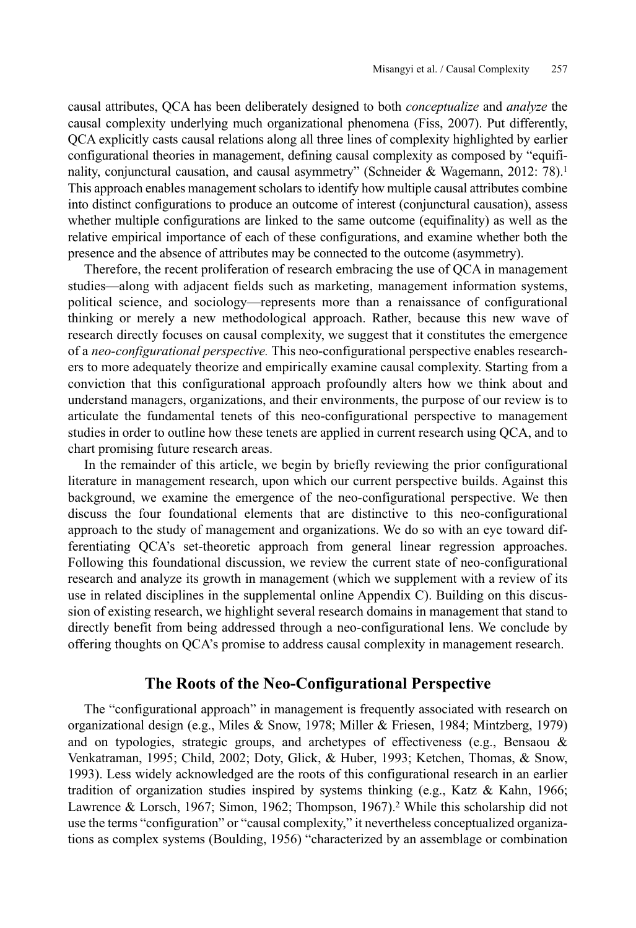causal attributes, QCA has been deliberately designed to both *conceptualize* and *analyze* the causal complexity underlying much organizational phenomena (Fiss, 2007). Put differently, QCA explicitly casts causal relations along all three lines of complexity highlighted by earlier configurational theories in management, defining causal complexity as composed by "equifinality, conjunctural causation, and causal asymmetry" (Schneider & Wagemann, 2012: 78).<sup>1</sup> This approach enables management scholars to identify how multiple causal attributes combine into distinct configurations to produce an outcome of interest (conjunctural causation), assess whether multiple configurations are linked to the same outcome (equifinality) as well as the relative empirical importance of each of these configurations, and examine whether both the presence and the absence of attributes may be connected to the outcome (asymmetry).

Therefore, the recent proliferation of research embracing the use of QCA in management studies—along with adjacent fields such as marketing, management information systems, political science, and sociology—represents more than a renaissance of configurational thinking or merely a new methodological approach. Rather, because this new wave of research directly focuses on causal complexity, we suggest that it constitutes the emergence of a *neo-configurational perspective.* This neo-configurational perspective enables researchers to more adequately theorize and empirically examine causal complexity. Starting from a conviction that this configurational approach profoundly alters how we think about and understand managers, organizations, and their environments, the purpose of our review is to articulate the fundamental tenets of this neo-configurational perspective to management studies in order to outline how these tenets are applied in current research using QCA, and to chart promising future research areas.

In the remainder of this article, we begin by briefly reviewing the prior configurational literature in management research, upon which our current perspective builds. Against this background, we examine the emergence of the neo-configurational perspective. We then discuss the four foundational elements that are distinctive to this neo-configurational approach to the study of management and organizations. We do so with an eye toward differentiating QCA's set-theoretic approach from general linear regression approaches. Following this foundational discussion, we review the current state of neo-configurational research and analyze its growth in management (which we supplement with a review of its use in related disciplines in the supplemental online Appendix C). Building on this discussion of existing research, we highlight several research domains in management that stand to directly benefit from being addressed through a neo-configurational lens. We conclude by offering thoughts on QCA's promise to address causal complexity in management research.

## **The Roots of the Neo-Configurational Perspective**

The "configurational approach" in management is frequently associated with research on organizational design (e.g., Miles & Snow, 1978; Miller & Friesen, 1984; Mintzberg, 1979) and on typologies, strategic groups, and archetypes of effectiveness (e.g., Bensaou  $\&$ Venkatraman, 1995; Child, 2002; Doty, Glick, & Huber, 1993; Ketchen, Thomas, & Snow, 1993). Less widely acknowledged are the roots of this configurational research in an earlier tradition of organization studies inspired by systems thinking (e.g., Katz & Kahn, 1966; Lawrence & Lorsch, 1967; Simon, 1962; Thompson, 1967).<sup>2</sup> While this scholarship did not use the terms "configuration" or "causal complexity," it nevertheless conceptualized organizations as complex systems (Boulding, 1956) "characterized by an assemblage or combination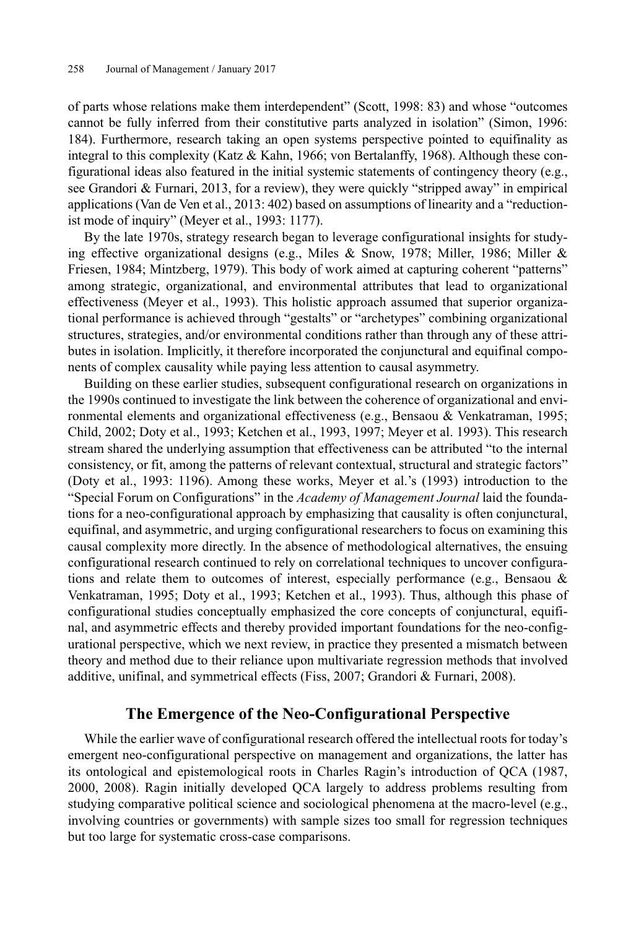of parts whose relations make them interdependent" (Scott, 1998: 83) and whose "outcomes cannot be fully inferred from their constitutive parts analyzed in isolation" (Simon, 1996: 184). Furthermore, research taking an open systems perspective pointed to equifinality as integral to this complexity (Katz & Kahn, 1966; von Bertalanffy, 1968). Although these configurational ideas also featured in the initial systemic statements of contingency theory (e.g., see Grandori & Furnari, 2013, for a review), they were quickly "stripped away" in empirical applications (Van de Ven et al., 2013: 402) based on assumptions of linearity and a "reductionist mode of inquiry" (Meyer et al., 1993: 1177).

By the late 1970s, strategy research began to leverage configurational insights for studying effective organizational designs (e.g., Miles & Snow, 1978; Miller, 1986; Miller & Friesen, 1984; Mintzberg, 1979). This body of work aimed at capturing coherent "patterns" among strategic, organizational, and environmental attributes that lead to organizational effectiveness (Meyer et al., 1993). This holistic approach assumed that superior organizational performance is achieved through "gestalts" or "archetypes" combining organizational structures, strategies, and/or environmental conditions rather than through any of these attributes in isolation. Implicitly, it therefore incorporated the conjunctural and equifinal components of complex causality while paying less attention to causal asymmetry.

Building on these earlier studies, subsequent configurational research on organizations in the 1990s continued to investigate the link between the coherence of organizational and environmental elements and organizational effectiveness (e.g., Bensaou & Venkatraman, 1995; Child, 2002; Doty et al., 1993; Ketchen et al., 1993, 1997; Meyer et al. 1993). This research stream shared the underlying assumption that effectiveness can be attributed "to the internal consistency, or fit, among the patterns of relevant contextual, structural and strategic factors" (Doty et al., 1993: 1196). Among these works, Meyer et al.'s (1993) introduction to the "Special Forum on Configurations" in the *Academy of Management Journal* laid the foundations for a neo-configurational approach by emphasizing that causality is often conjunctural, equifinal, and asymmetric, and urging configurational researchers to focus on examining this causal complexity more directly. In the absence of methodological alternatives, the ensuing configurational research continued to rely on correlational techniques to uncover configurations and relate them to outcomes of interest, especially performance (e.g., Bensaou  $\&$ Venkatraman, 1995; Doty et al., 1993; Ketchen et al., 1993). Thus, although this phase of configurational studies conceptually emphasized the core concepts of conjunctural, equifinal, and asymmetric effects and thereby provided important foundations for the neo-configurational perspective, which we next review, in practice they presented a mismatch between theory and method due to their reliance upon multivariate regression methods that involved additive, unifinal, and symmetrical effects (Fiss, 2007; Grandori & Furnari, 2008).

# **The Emergence of the Neo-Configurational Perspective**

While the earlier wave of configurational research offered the intellectual roots for today's emergent neo-configurational perspective on management and organizations, the latter has its ontological and epistemological roots in Charles Ragin's introduction of QCA (1987, 2000, 2008). Ragin initially developed QCA largely to address problems resulting from studying comparative political science and sociological phenomena at the macro-level (e.g., involving countries or governments) with sample sizes too small for regression techniques but too large for systematic cross-case comparisons.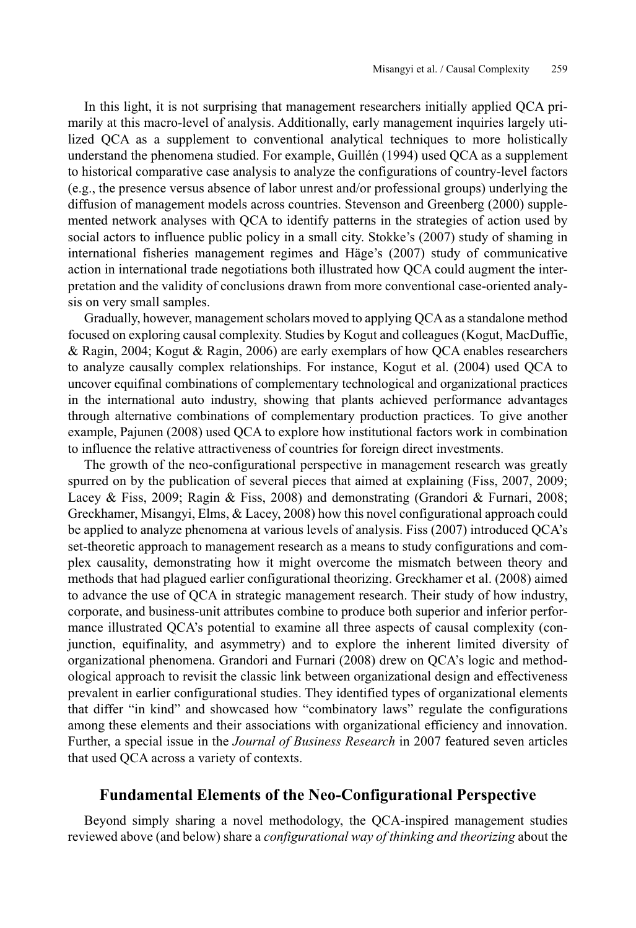In this light, it is not surprising that management researchers initially applied QCA primarily at this macro-level of analysis. Additionally, early management inquiries largely utilized QCA as a supplement to conventional analytical techniques to more holistically understand the phenomena studied. For example, Guillén (1994) used QCA as a supplement to historical comparative case analysis to analyze the configurations of country-level factors (e.g., the presence versus absence of labor unrest and/or professional groups) underlying the diffusion of management models across countries. Stevenson and Greenberg (2000) supplemented network analyses with QCA to identify patterns in the strategies of action used by social actors to influence public policy in a small city. Stokke's (2007) study of shaming in international fisheries management regimes and Häge's (2007) study of communicative action in international trade negotiations both illustrated how QCA could augment the interpretation and the validity of conclusions drawn from more conventional case-oriented analysis on very small samples.

Gradually, however, management scholars moved to applying QCA as a standalone method focused on exploring causal complexity. Studies by Kogut and colleagues (Kogut, MacDuffie, & Ragin, 2004; Kogut & Ragin, 2006) are early exemplars of how QCA enables researchers to analyze causally complex relationships. For instance, Kogut et al. (2004) used QCA to uncover equifinal combinations of complementary technological and organizational practices in the international auto industry, showing that plants achieved performance advantages through alternative combinations of complementary production practices. To give another example, Pajunen (2008) used QCA to explore how institutional factors work in combination to influence the relative attractiveness of countries for foreign direct investments.

The growth of the neo-configurational perspective in management research was greatly spurred on by the publication of several pieces that aimed at explaining (Fiss, 2007, 2009; Lacey & Fiss, 2009; Ragin & Fiss, 2008) and demonstrating (Grandori & Furnari, 2008; Greckhamer, Misangyi, Elms, & Lacey, 2008) how this novel configurational approach could be applied to analyze phenomena at various levels of analysis. Fiss (2007) introduced QCA's set-theoretic approach to management research as a means to study configurations and complex causality, demonstrating how it might overcome the mismatch between theory and methods that had plagued earlier configurational theorizing. Greckhamer et al. (2008) aimed to advance the use of QCA in strategic management research. Their study of how industry, corporate, and business-unit attributes combine to produce both superior and inferior performance illustrated QCA's potential to examine all three aspects of causal complexity (conjunction, equifinality, and asymmetry) and to explore the inherent limited diversity of organizational phenomena. Grandori and Furnari (2008) drew on QCA's logic and methodological approach to revisit the classic link between organizational design and effectiveness prevalent in earlier configurational studies. They identified types of organizational elements that differ "in kind" and showcased how "combinatory laws" regulate the configurations among these elements and their associations with organizational efficiency and innovation. Further, a special issue in the *Journal of Business Research* in 2007 featured seven articles that used QCA across a variety of contexts.

## **Fundamental Elements of the Neo-Configurational Perspective**

Beyond simply sharing a novel methodology, the QCA-inspired management studies reviewed above (and below) share a *configurational way of thinking and theorizing* about the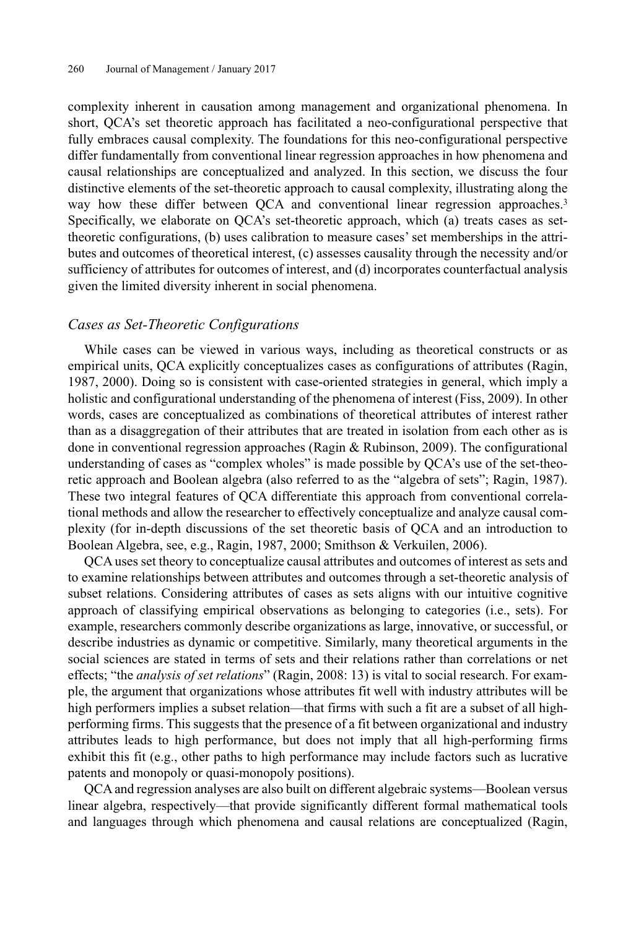complexity inherent in causation among management and organizational phenomena. In short, QCA's set theoretic approach has facilitated a neo-configurational perspective that fully embraces causal complexity. The foundations for this neo-configurational perspective differ fundamentally from conventional linear regression approaches in how phenomena and causal relationships are conceptualized and analyzed. In this section, we discuss the four distinctive elements of the set-theoretic approach to causal complexity, illustrating along the way how these differ between QCA and conventional linear regression approaches.<sup>3</sup> Specifically, we elaborate on QCA's set-theoretic approach, which (a) treats cases as settheoretic configurations, (b) uses calibration to measure cases' set memberships in the attributes and outcomes of theoretical interest, (c) assesses causality through the necessity and/or sufficiency of attributes for outcomes of interest, and (d) incorporates counterfactual analysis given the limited diversity inherent in social phenomena.

#### *Cases as Set-Theoretic Configurations*

While cases can be viewed in various ways, including as theoretical constructs or as empirical units, QCA explicitly conceptualizes cases as configurations of attributes (Ragin, 1987, 2000). Doing so is consistent with case-oriented strategies in general, which imply a holistic and configurational understanding of the phenomena of interest (Fiss, 2009). In other words, cases are conceptualized as combinations of theoretical attributes of interest rather than as a disaggregation of their attributes that are treated in isolation from each other as is done in conventional regression approaches (Ragin & Rubinson, 2009). The configurational understanding of cases as "complex wholes" is made possible by QCA's use of the set-theoretic approach and Boolean algebra (also referred to as the "algebra of sets"; Ragin, 1987). These two integral features of QCA differentiate this approach from conventional correlational methods and allow the researcher to effectively conceptualize and analyze causal complexity (for in-depth discussions of the set theoretic basis of QCA and an introduction to Boolean Algebra, see, e.g., Ragin, 1987, 2000; Smithson & Verkuilen, 2006).

QCA uses set theory to conceptualize causal attributes and outcomes of interest as sets and to examine relationships between attributes and outcomes through a set-theoretic analysis of subset relations. Considering attributes of cases as sets aligns with our intuitive cognitive approach of classifying empirical observations as belonging to categories (i.e., sets). For example, researchers commonly describe organizations as large, innovative, or successful, or describe industries as dynamic or competitive. Similarly, many theoretical arguments in the social sciences are stated in terms of sets and their relations rather than correlations or net effects; "the *analysis of set relations*" (Ragin, 2008: 13) is vital to social research. For example, the argument that organizations whose attributes fit well with industry attributes will be high performers implies a subset relation—that firms with such a fit are a subset of all highperforming firms. This suggests that the presence of a fit between organizational and industry attributes leads to high performance, but does not imply that all high-performing firms exhibit this fit (e.g., other paths to high performance may include factors such as lucrative patents and monopoly or quasi-monopoly positions).

QCA and regression analyses are also built on different algebraic systems—Boolean versus linear algebra, respectively—that provide significantly different formal mathematical tools and languages through which phenomena and causal relations are conceptualized (Ragin,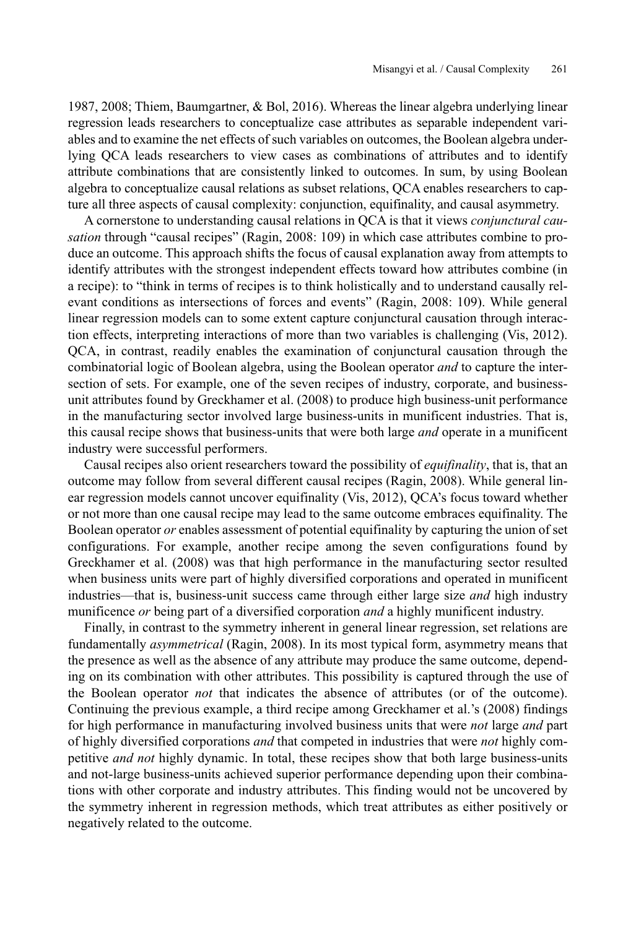1987, 2008; Thiem, Baumgartner, & Bol, 2016). Whereas the linear algebra underlying linear regression leads researchers to conceptualize case attributes as separable independent variables and to examine the net effects of such variables on outcomes, the Boolean algebra underlying QCA leads researchers to view cases as combinations of attributes and to identify attribute combinations that are consistently linked to outcomes. In sum, by using Boolean algebra to conceptualize causal relations as subset relations, QCA enables researchers to capture all three aspects of causal complexity: conjunction, equifinality, and causal asymmetry.

A cornerstone to understanding causal relations in QCA is that it views *conjunctural causation* through "causal recipes" (Ragin, 2008: 109) in which case attributes combine to produce an outcome. This approach shifts the focus of causal explanation away from attempts to identify attributes with the strongest independent effects toward how attributes combine (in a recipe): to "think in terms of recipes is to think holistically and to understand causally relevant conditions as intersections of forces and events" (Ragin, 2008: 109). While general linear regression models can to some extent capture conjunctural causation through interaction effects, interpreting interactions of more than two variables is challenging (Vis, 2012). QCA, in contrast, readily enables the examination of conjunctural causation through the combinatorial logic of Boolean algebra, using the Boolean operator *and* to capture the intersection of sets. For example, one of the seven recipes of industry, corporate, and businessunit attributes found by Greckhamer et al. (2008) to produce high business-unit performance in the manufacturing sector involved large business-units in munificent industries. That is, this causal recipe shows that business-units that were both large *and* operate in a munificent industry were successful performers.

Causal recipes also orient researchers toward the possibility of *equifinality*, that is, that an outcome may follow from several different causal recipes (Ragin, 2008). While general linear regression models cannot uncover equifinality (Vis, 2012), QCA's focus toward whether or not more than one causal recipe may lead to the same outcome embraces equifinality. The Boolean operator *or* enables assessment of potential equifinality by capturing the union of set configurations. For example, another recipe among the seven configurations found by Greckhamer et al. (2008) was that high performance in the manufacturing sector resulted when business units were part of highly diversified corporations and operated in munificent industries—that is, business-unit success came through either large size *and* high industry munificence *or* being part of a diversified corporation *and* a highly munificent industry.

Finally, in contrast to the symmetry inherent in general linear regression, set relations are fundamentally *asymmetrical* (Ragin, 2008). In its most typical form, asymmetry means that the presence as well as the absence of any attribute may produce the same outcome, depending on its combination with other attributes. This possibility is captured through the use of the Boolean operator *not* that indicates the absence of attributes (or of the outcome). Continuing the previous example, a third recipe among Greckhamer et al.'s (2008) findings for high performance in manufacturing involved business units that were *not* large *and* part of highly diversified corporations *and* that competed in industries that were *not* highly competitive *and not* highly dynamic. In total, these recipes show that both large business-units and not-large business-units achieved superior performance depending upon their combinations with other corporate and industry attributes. This finding would not be uncovered by the symmetry inherent in regression methods, which treat attributes as either positively or negatively related to the outcome.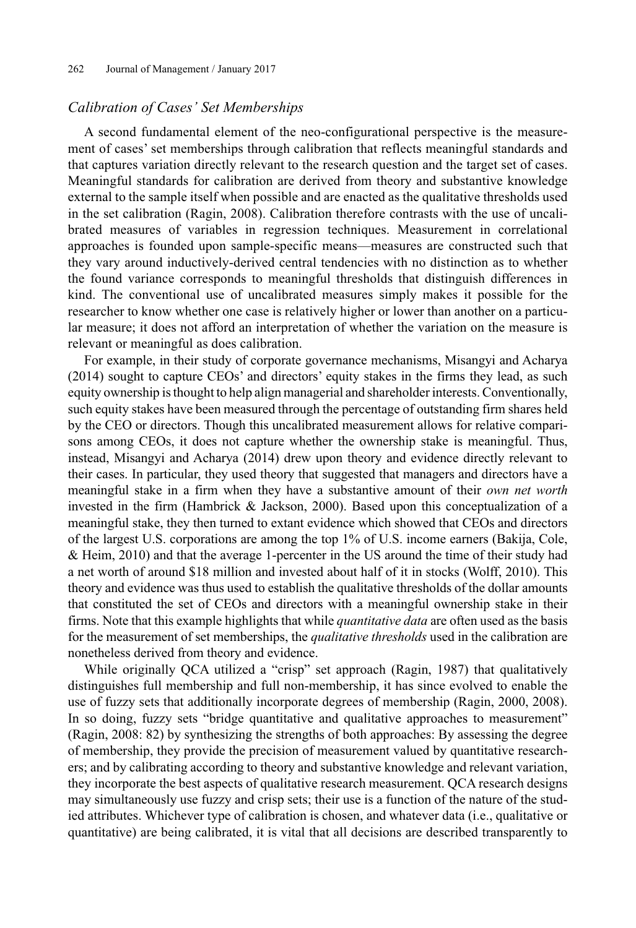#### *Calibration of Cases' Set Memberships*

A second fundamental element of the neo-configurational perspective is the measurement of cases' set memberships through calibration that reflects meaningful standards and that captures variation directly relevant to the research question and the target set of cases. Meaningful standards for calibration are derived from theory and substantive knowledge external to the sample itself when possible and are enacted as the qualitative thresholds used in the set calibration (Ragin, 2008). Calibration therefore contrasts with the use of uncalibrated measures of variables in regression techniques. Measurement in correlational approaches is founded upon sample-specific means—measures are constructed such that they vary around inductively-derived central tendencies with no distinction as to whether the found variance corresponds to meaningful thresholds that distinguish differences in kind. The conventional use of uncalibrated measures simply makes it possible for the researcher to know whether one case is relatively higher or lower than another on a particular measure; it does not afford an interpretation of whether the variation on the measure is relevant or meaningful as does calibration.

For example, in their study of corporate governance mechanisms, Misangyi and Acharya (2014) sought to capture CEOs' and directors' equity stakes in the firms they lead, as such equity ownership is thought to help align managerial and shareholder interests. Conventionally, such equity stakes have been measured through the percentage of outstanding firm shares held by the CEO or directors. Though this uncalibrated measurement allows for relative comparisons among CEOs, it does not capture whether the ownership stake is meaningful. Thus, instead, Misangyi and Acharya (2014) drew upon theory and evidence directly relevant to their cases. In particular, they used theory that suggested that managers and directors have a meaningful stake in a firm when they have a substantive amount of their *own net worth* invested in the firm (Hambrick & Jackson, 2000). Based upon this conceptualization of a meaningful stake, they then turned to extant evidence which showed that CEOs and directors of the largest U.S. corporations are among the top 1% of U.S. income earners (Bakija, Cole, & Heim, 2010) and that the average 1-percenter in the US around the time of their study had a net worth of around \$18 million and invested about half of it in stocks (Wolff, 2010). This theory and evidence was thus used to establish the qualitative thresholds of the dollar amounts that constituted the set of CEOs and directors with a meaningful ownership stake in their firms. Note that this example highlights that while *quantitative data* are often used as the basis for the measurement of set memberships, the *qualitative thresholds* used in the calibration are nonetheless derived from theory and evidence.

While originally QCA utilized a "crisp" set approach (Ragin, 1987) that qualitatively distinguishes full membership and full non-membership, it has since evolved to enable the use of fuzzy sets that additionally incorporate degrees of membership (Ragin, 2000, 2008). In so doing, fuzzy sets "bridge quantitative and qualitative approaches to measurement" (Ragin, 2008: 82) by synthesizing the strengths of both approaches: By assessing the degree of membership, they provide the precision of measurement valued by quantitative researchers; and by calibrating according to theory and substantive knowledge and relevant variation, they incorporate the best aspects of qualitative research measurement. QCA research designs may simultaneously use fuzzy and crisp sets; their use is a function of the nature of the studied attributes. Whichever type of calibration is chosen, and whatever data (i.e., qualitative or quantitative) are being calibrated, it is vital that all decisions are described transparently to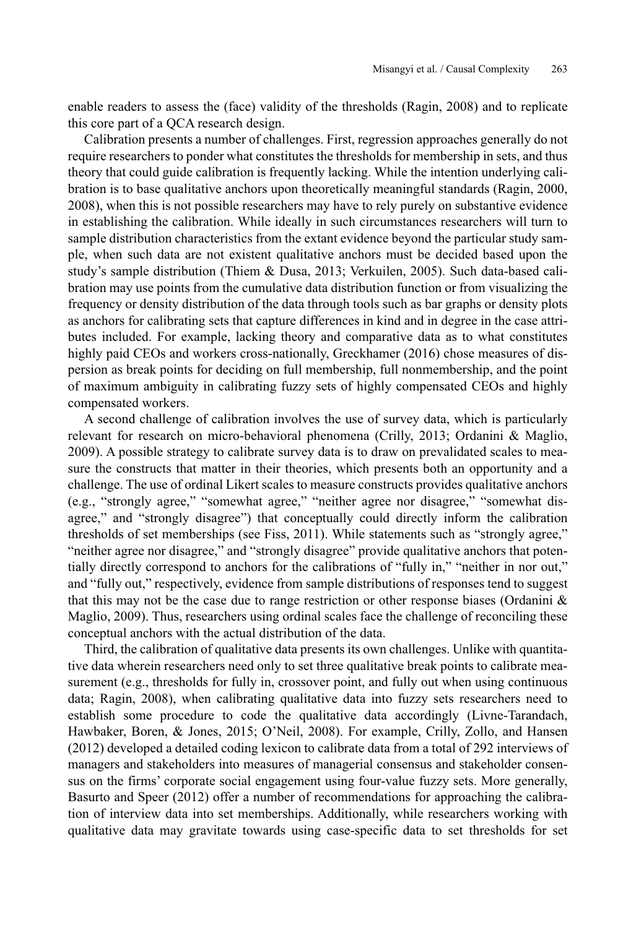enable readers to assess the (face) validity of the thresholds (Ragin, 2008) and to replicate this core part of a QCA research design.

Calibration presents a number of challenges. First, regression approaches generally do not require researchers to ponder what constitutes the thresholds for membership in sets, and thus theory that could guide calibration is frequently lacking. While the intention underlying calibration is to base qualitative anchors upon theoretically meaningful standards (Ragin, 2000, 2008), when this is not possible researchers may have to rely purely on substantive evidence in establishing the calibration. While ideally in such circumstances researchers will turn to sample distribution characteristics from the extant evidence beyond the particular study sample, when such data are not existent qualitative anchors must be decided based upon the study's sample distribution (Thiem & Dusa, 2013; Verkuilen, 2005). Such data-based calibration may use points from the cumulative data distribution function or from visualizing the frequency or density distribution of the data through tools such as bar graphs or density plots as anchors for calibrating sets that capture differences in kind and in degree in the case attributes included. For example, lacking theory and comparative data as to what constitutes highly paid CEOs and workers cross-nationally, Greckhamer (2016) chose measures of dispersion as break points for deciding on full membership, full nonmembership, and the point of maximum ambiguity in calibrating fuzzy sets of highly compensated CEOs and highly compensated workers.

A second challenge of calibration involves the use of survey data, which is particularly relevant for research on micro-behavioral phenomena (Crilly, 2013; Ordanini & Maglio, 2009). A possible strategy to calibrate survey data is to draw on prevalidated scales to measure the constructs that matter in their theories, which presents both an opportunity and a challenge. The use of ordinal Likert scales to measure constructs provides qualitative anchors (e.g., "strongly agree," "somewhat agree," "neither agree nor disagree," "somewhat disagree," and "strongly disagree") that conceptually could directly inform the calibration thresholds of set memberships (see Fiss, 2011). While statements such as "strongly agree," "neither agree nor disagree," and "strongly disagree" provide qualitative anchors that potentially directly correspond to anchors for the calibrations of "fully in," "neither in nor out," and "fully out," respectively, evidence from sample distributions of responses tend to suggest that this may not be the case due to range restriction or other response biases (Ordanini  $\&$ Maglio, 2009). Thus, researchers using ordinal scales face the challenge of reconciling these conceptual anchors with the actual distribution of the data.

Third, the calibration of qualitative data presents its own challenges. Unlike with quantitative data wherein researchers need only to set three qualitative break points to calibrate measurement (e.g., thresholds for fully in, crossover point, and fully out when using continuous data; Ragin, 2008), when calibrating qualitative data into fuzzy sets researchers need to establish some procedure to code the qualitative data accordingly (Livne-Tarandach, Hawbaker, Boren, & Jones, 2015; O'Neil, 2008). For example, Crilly, Zollo, and Hansen (2012) developed a detailed coding lexicon to calibrate data from a total of 292 interviews of managers and stakeholders into measures of managerial consensus and stakeholder consensus on the firms' corporate social engagement using four-value fuzzy sets. More generally, Basurto and Speer (2012) offer a number of recommendations for approaching the calibration of interview data into set memberships. Additionally, while researchers working with qualitative data may gravitate towards using case-specific data to set thresholds for set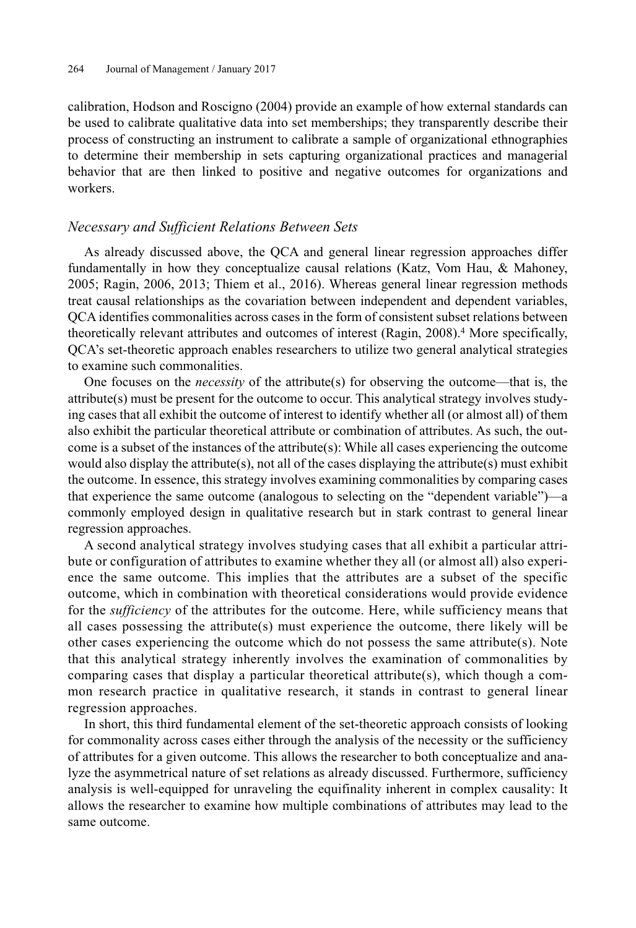calibration, Hodson and Roscigno (2004) provide an example of how external standards can be used to calibrate qualitative data into set memberships; they transparently describe their process of constructing an instrument to calibrate a sample of organizational ethnographies to determine their membership in sets capturing organizational practices and managerial behavior that are then linked to positive and negative outcomes for organizations and workers.

#### *Necessary and Sufficient Relations Between Sets*

As already discussed above, the QCA and general linear regression approaches differ fundamentally in how they conceptualize causal relations (Katz, Vom Hau, & Mahoney, 2005; Ragin, 2006, 2013; Thiem et al., 2016). Whereas general linear regression methods treat causal relationships as the covariation between independent and dependent variables, QCA identifies commonalities across cases in the form of consistent subset relations between theoretically relevant attributes and outcomes of interest (Ragin, 2008).4 More specifically, QCA's set-theoretic approach enables researchers to utilize two general analytical strategies to examine such commonalities.

One focuses on the *necessity* of the attribute(s) for observing the outcome—that is, the attribute(s) must be present for the outcome to occur. This analytical strategy involves studying cases that all exhibit the outcome of interest to identify whether all (or almost all) of them also exhibit the particular theoretical attribute or combination of attributes. As such, the outcome is a subset of the instances of the attribute(s): While all cases experiencing the outcome would also display the attribute(s), not all of the cases displaying the attribute(s) must exhibit the outcome. In essence, this strategy involves examining commonalities by comparing cases that experience the same outcome (analogous to selecting on the "dependent variable")—a commonly employed design in qualitative research but in stark contrast to general linear regression approaches.

A second analytical strategy involves studying cases that all exhibit a particular attribute or configuration of attributes to examine whether they all (or almost all) also experience the same outcome. This implies that the attributes are a subset of the specific outcome, which in combination with theoretical considerations would provide evidence for the *sufficiency* of the attributes for the outcome. Here, while sufficiency means that all cases possessing the attribute(s) must experience the outcome, there likely will be other cases experiencing the outcome which do not possess the same attribute(s). Note that this analytical strategy inherently involves the examination of commonalities by comparing cases that display a particular theoretical attribute(s), which though a common research practice in qualitative research, it stands in contrast to general linear regression approaches.

In short, this third fundamental element of the set-theoretic approach consists of looking for commonality across cases either through the analysis of the necessity or the sufficiency of attributes for a given outcome. This allows the researcher to both conceptualize and analyze the asymmetrical nature of set relations as already discussed. Furthermore, sufficiency analysis is well-equipped for unraveling the equifinality inherent in complex causality: It allows the researcher to examine how multiple combinations of attributes may lead to the same outcome.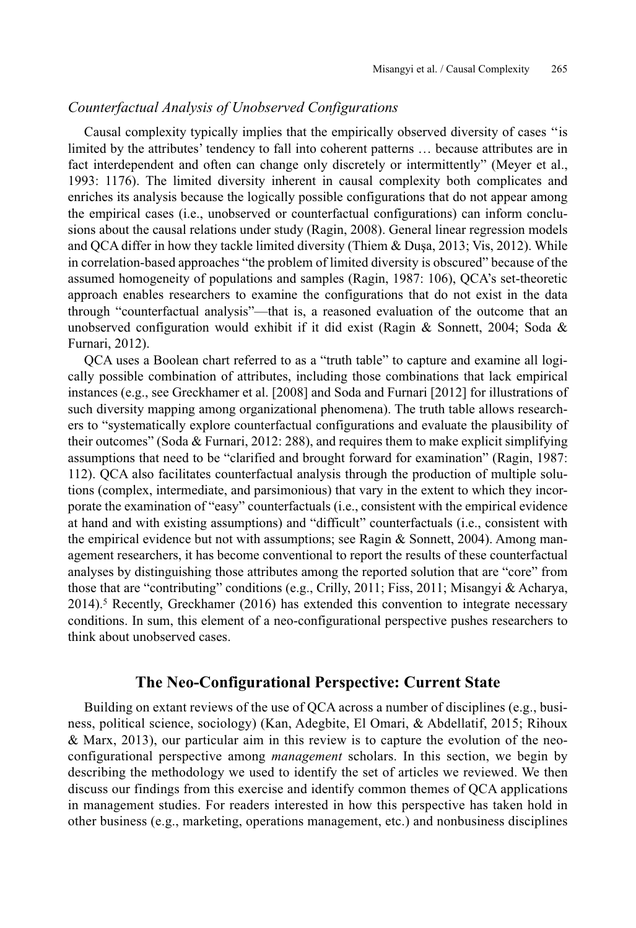# *Counterfactual Analysis of Unobserved Configurations*

Causal complexity typically implies that the empirically observed diversity of cases ''is limited by the attributes' tendency to fall into coherent patterns … because attributes are in fact interdependent and often can change only discretely or intermittently" (Meyer et al., 1993: 1176). The limited diversity inherent in causal complexity both complicates and enriches its analysis because the logically possible configurations that do not appear among the empirical cases (i.e., unobserved or counterfactual configurations) can inform conclusions about the causal relations under study (Ragin, 2008). General linear regression models and QCA differ in how they tackle limited diversity (Thiem & Duşa, 2013; Vis, 2012). While in correlation-based approaches "the problem of limited diversity is obscured" because of the assumed homogeneity of populations and samples (Ragin, 1987: 106), QCA's set-theoretic approach enables researchers to examine the configurations that do not exist in the data through "counterfactual analysis"—that is, a reasoned evaluation of the outcome that an unobserved configuration would exhibit if it did exist (Ragin & Sonnett, 2004; Soda & Furnari, 2012).

QCA uses a Boolean chart referred to as a "truth table" to capture and examine all logically possible combination of attributes, including those combinations that lack empirical instances (e.g., see Greckhamer et al. [2008] and Soda and Furnari [2012] for illustrations of such diversity mapping among organizational phenomena). The truth table allows researchers to "systematically explore counterfactual configurations and evaluate the plausibility of their outcomes" (Soda & Furnari, 2012: 288), and requires them to make explicit simplifying assumptions that need to be "clarified and brought forward for examination" (Ragin, 1987: 112). QCA also facilitates counterfactual analysis through the production of multiple solutions (complex, intermediate, and parsimonious) that vary in the extent to which they incorporate the examination of "easy" counterfactuals (i.e., consistent with the empirical evidence at hand and with existing assumptions) and "difficult" counterfactuals (i.e., consistent with the empirical evidence but not with assumptions; see Ragin  $\&$  Sonnett, 2004). Among management researchers, it has become conventional to report the results of these counterfactual analyses by distinguishing those attributes among the reported solution that are "core" from those that are "contributing" conditions (e.g., Crilly, 2011; Fiss, 2011; Misangyi & Acharya, 2014).5 Recently, Greckhamer (2016) has extended this convention to integrate necessary conditions. In sum, this element of a neo-configurational perspective pushes researchers to think about unobserved cases.

## **The Neo-Configurational Perspective: Current State**

Building on extant reviews of the use of QCA across a number of disciplines (e.g., business, political science, sociology) (Kan, Adegbite, El Omari, & Abdellatif, 2015; Rihoux & Marx, 2013), our particular aim in this review is to capture the evolution of the neoconfigurational perspective among *management* scholars. In this section, we begin by describing the methodology we used to identify the set of articles we reviewed. We then discuss our findings from this exercise and identify common themes of QCA applications in management studies. For readers interested in how this perspective has taken hold in other business (e.g., marketing, operations management, etc.) and nonbusiness disciplines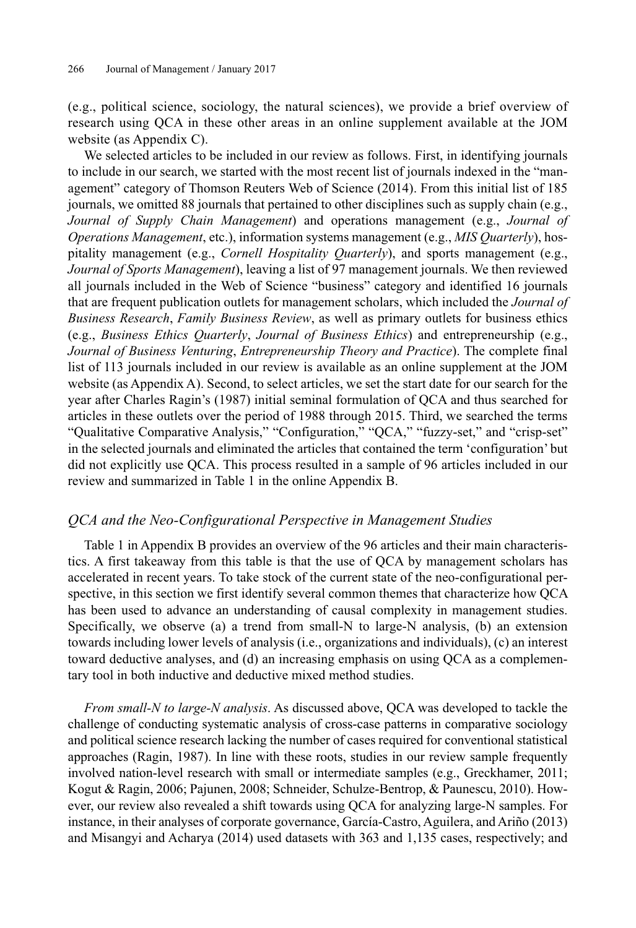(e.g., political science, sociology, the natural sciences), we provide a brief overview of research using QCA in these other areas in an online supplement available at the JOM website (as Appendix C).

We selected articles to be included in our review as follows. First, in identifying journals to include in our search, we started with the most recent list of journals indexed in the "management" category of Thomson Reuters Web of Science (2014). From this initial list of 185 journals, we omitted 88 journals that pertained to other disciplines such as supply chain (e.g., *Journal of Supply Chain Management*) and operations management (e.g., *Journal of Operations Management*, etc.), information systems management (e.g., *MIS Quarterly*), hospitality management (e.g., *Cornell Hospitality Quarterly*), and sports management (e.g., *Journal of Sports Management*), leaving a list of 97 management journals. We then reviewed all journals included in the Web of Science "business" category and identified 16 journals that are frequent publication outlets for management scholars, which included the *Journal of Business Research*, *Family Business Review*, as well as primary outlets for business ethics (e.g., *Business Ethics Quarterly*, *Journal of Business Ethics*) and entrepreneurship (e.g., *Journal of Business Venturing*, *Entrepreneurship Theory and Practice*). The complete final list of 113 journals included in our review is available as an online supplement at the JOM website (as Appendix A). Second, to select articles, we set the start date for our search for the year after Charles Ragin's (1987) initial seminal formulation of QCA and thus searched for articles in these outlets over the period of 1988 through 2015. Third, we searched the terms "Qualitative Comparative Analysis," "Configuration," "QCA," "fuzzy-set," and "crisp-set" in the selected journals and eliminated the articles that contained the term 'configuration' but did not explicitly use QCA. This process resulted in a sample of 96 articles included in our review and summarized in Table 1 in the online Appendix B.

#### *QCA and the Neo-Configurational Perspective in Management Studies*

Table 1 in Appendix B provides an overview of the 96 articles and their main characteristics. A first takeaway from this table is that the use of QCA by management scholars has accelerated in recent years. To take stock of the current state of the neo-configurational perspective, in this section we first identify several common themes that characterize how QCA has been used to advance an understanding of causal complexity in management studies. Specifically, we observe (a) a trend from small-N to large-N analysis, (b) an extension towards including lower levels of analysis (i.e., organizations and individuals), (c) an interest toward deductive analyses, and (d) an increasing emphasis on using QCA as a complementary tool in both inductive and deductive mixed method studies.

*From small-N to large-N analysis*. As discussed above, QCA was developed to tackle the challenge of conducting systematic analysis of cross-case patterns in comparative sociology and political science research lacking the number of cases required for conventional statistical approaches (Ragin, 1987). In line with these roots, studies in our review sample frequently involved nation-level research with small or intermediate samples (e.g., Greckhamer, 2011; Kogut & Ragin, 2006; Pajunen, 2008; Schneider, Schulze-Bentrop, & Paunescu, 2010). However, our review also revealed a shift towards using QCA for analyzing large-N samples. For instance, in their analyses of corporate governance, García-Castro, Aguilera, and Ariño (2013) and Misangyi and Acharya (2014) used datasets with 363 and 1,135 cases, respectively; and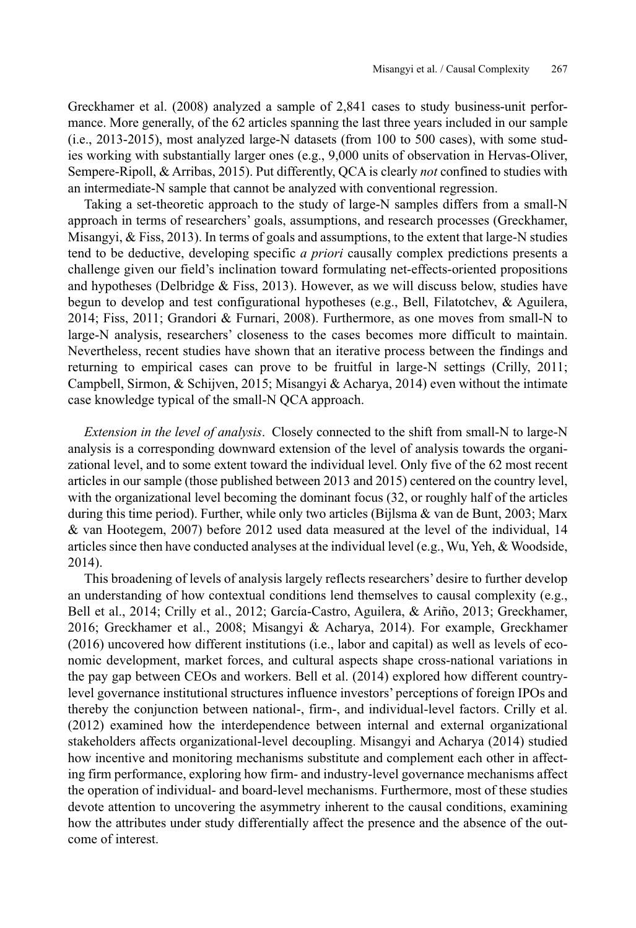Greckhamer et al. (2008) analyzed a sample of 2,841 cases to study business-unit performance. More generally, of the 62 articles spanning the last three years included in our sample (i.e., 2013-2015), most analyzed large-N datasets (from 100 to 500 cases), with some studies working with substantially larger ones (e.g., 9,000 units of observation in Hervas-Oliver, Sempere-Ripoll, & Arribas, 2015). Put differently, QCA is clearly *not* confined to studies with an intermediate-N sample that cannot be analyzed with conventional regression.

Taking a set-theoretic approach to the study of large-N samples differs from a small-N approach in terms of researchers' goals, assumptions, and research processes (Greckhamer, Misangyi,  $\&$  Fiss, 2013). In terms of goals and assumptions, to the extent that large-N studies tend to be deductive, developing specific *a priori* causally complex predictions presents a challenge given our field's inclination toward formulating net-effects-oriented propositions and hypotheses (Delbridge  $&$  Fiss, 2013). However, as we will discuss below, studies have begun to develop and test configurational hypotheses (e.g., Bell, Filatotchev, & Aguilera, 2014; Fiss, 2011; Grandori & Furnari, 2008). Furthermore, as one moves from small-N to large-N analysis, researchers' closeness to the cases becomes more difficult to maintain. Nevertheless, recent studies have shown that an iterative process between the findings and returning to empirical cases can prove to be fruitful in large-N settings (Crilly, 2011; Campbell, Sirmon, & Schijven, 2015; Misangyi & Acharya, 2014) even without the intimate case knowledge typical of the small-N QCA approach.

*Extension in the level of analysis*. Closely connected to the shift from small-N to large-N analysis is a corresponding downward extension of the level of analysis towards the organizational level, and to some extent toward the individual level. Only five of the 62 most recent articles in our sample (those published between 2013 and 2015) centered on the country level, with the organizational level becoming the dominant focus (32, or roughly half of the articles during this time period). Further, while only two articles (Bijlsma & van de Bunt, 2003; Marx & van Hootegem, 2007) before 2012 used data measured at the level of the individual, 14 articles since then have conducted analyses at the individual level (e.g., Wu, Yeh, & Woodside, 2014).

This broadening of levels of analysis largely reflects researchers' desire to further develop an understanding of how contextual conditions lend themselves to causal complexity (e.g., Bell et al., 2014; Crilly et al., 2012; García-Castro, Aguilera, & Ariño, 2013; Greckhamer, 2016; Greckhamer et al., 2008; Misangyi & Acharya, 2014). For example, Greckhamer (2016) uncovered how different institutions (i.e., labor and capital) as well as levels of economic development, market forces, and cultural aspects shape cross-national variations in the pay gap between CEOs and workers. Bell et al. (2014) explored how different countrylevel governance institutional structures influence investors' perceptions of foreign IPOs and thereby the conjunction between national-, firm-, and individual-level factors. Crilly et al. (2012) examined how the interdependence between internal and external organizational stakeholders affects organizational-level decoupling. Misangyi and Acharya (2014) studied how incentive and monitoring mechanisms substitute and complement each other in affecting firm performance, exploring how firm- and industry-level governance mechanisms affect the operation of individual- and board-level mechanisms. Furthermore, most of these studies devote attention to uncovering the asymmetry inherent to the causal conditions, examining how the attributes under study differentially affect the presence and the absence of the outcome of interest.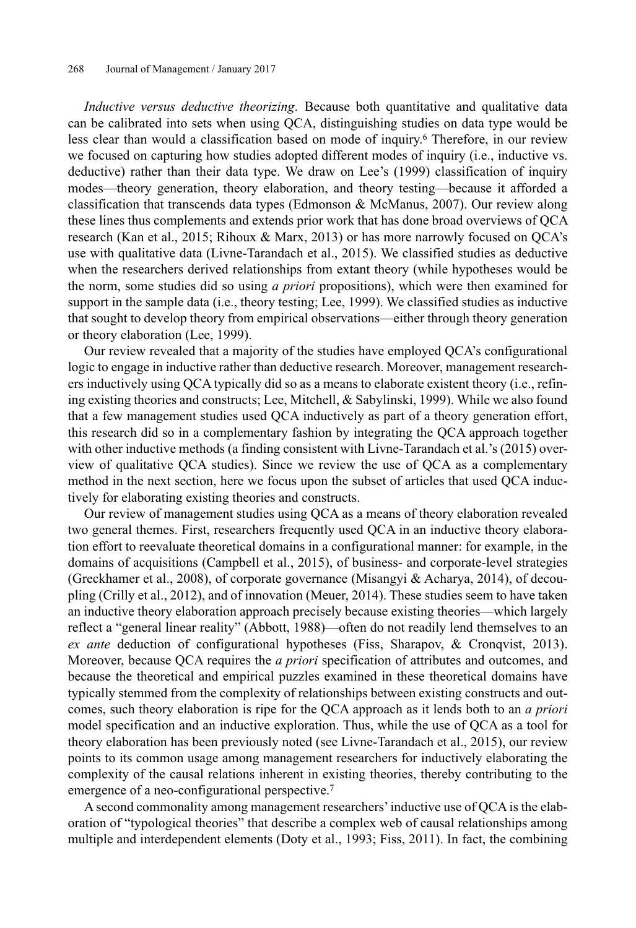*Inductive versus deductive theorizing*. Because both quantitative and qualitative data can be calibrated into sets when using QCA, distinguishing studies on data type would be less clear than would a classification based on mode of inquiry.<sup>6</sup> Therefore, in our review we focused on capturing how studies adopted different modes of inquiry (i.e., inductive vs. deductive) rather than their data type. We draw on Lee's (1999) classification of inquiry modes—theory generation, theory elaboration, and theory testing—because it afforded a classification that transcends data types (Edmonson & McManus, 2007). Our review along these lines thus complements and extends prior work that has done broad overviews of QCA research (Kan et al., 2015; Rihoux & Marx, 2013) or has more narrowly focused on QCA's use with qualitative data (Livne-Tarandach et al., 2015). We classified studies as deductive when the researchers derived relationships from extant theory (while hypotheses would be the norm, some studies did so using *a priori* propositions), which were then examined for support in the sample data (i.e., theory testing; Lee, 1999). We classified studies as inductive that sought to develop theory from empirical observations—either through theory generation or theory elaboration (Lee, 1999).

Our review revealed that a majority of the studies have employed QCA's configurational logic to engage in inductive rather than deductive research. Moreover, management researchers inductively using QCA typically did so as a means to elaborate existent theory (i.e., refining existing theories and constructs; Lee, Mitchell, & Sabylinski, 1999). While we also found that a few management studies used QCA inductively as part of a theory generation effort, this research did so in a complementary fashion by integrating the QCA approach together with other inductive methods (a finding consistent with Livne-Tarandach et al.'s (2015) overview of qualitative QCA studies). Since we review the use of QCA as a complementary method in the next section, here we focus upon the subset of articles that used QCA inductively for elaborating existing theories and constructs.

Our review of management studies using QCA as a means of theory elaboration revealed two general themes. First, researchers frequently used QCA in an inductive theory elaboration effort to reevaluate theoretical domains in a configurational manner: for example, in the domains of acquisitions (Campbell et al., 2015), of business- and corporate-level strategies (Greckhamer et al., 2008), of corporate governance (Misangyi & Acharya, 2014), of decoupling (Crilly et al., 2012), and of innovation (Meuer, 2014). These studies seem to have taken an inductive theory elaboration approach precisely because existing theories—which largely reflect a "general linear reality" (Abbott, 1988)—often do not readily lend themselves to an *ex ante* deduction of configurational hypotheses (Fiss, Sharapov, & Cronqvist, 2013). Moreover, because QCA requires the *a priori* specification of attributes and outcomes, and because the theoretical and empirical puzzles examined in these theoretical domains have typically stemmed from the complexity of relationships between existing constructs and outcomes, such theory elaboration is ripe for the QCA approach as it lends both to an *a priori* model specification and an inductive exploration. Thus, while the use of QCA as a tool for theory elaboration has been previously noted (see Livne-Tarandach et al., 2015), our review points to its common usage among management researchers for inductively elaborating the complexity of the causal relations inherent in existing theories, thereby contributing to the emergence of a neo-configurational perspective.<sup>7</sup>

A second commonality among management researchers' inductive use of QCA is the elaboration of "typological theories" that describe a complex web of causal relationships among multiple and interdependent elements (Doty et al., 1993; Fiss, 2011). In fact, the combining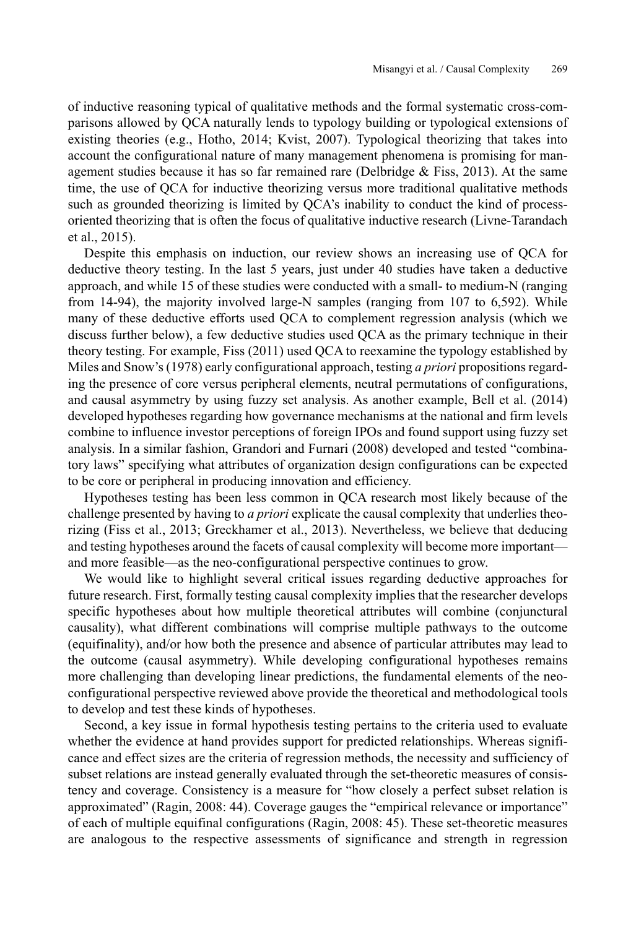of inductive reasoning typical of qualitative methods and the formal systematic cross-comparisons allowed by QCA naturally lends to typology building or typological extensions of existing theories (e.g., Hotho, 2014; Kvist, 2007). Typological theorizing that takes into account the configurational nature of many management phenomena is promising for management studies because it has so far remained rare (Delbridge  $\&$  Fiss, 2013). At the same time, the use of QCA for inductive theorizing versus more traditional qualitative methods such as grounded theorizing is limited by QCA's inability to conduct the kind of processoriented theorizing that is often the focus of qualitative inductive research (Livne-Tarandach et al., 2015).

Despite this emphasis on induction, our review shows an increasing use of QCA for deductive theory testing. In the last 5 years, just under 40 studies have taken a deductive approach, and while 15 of these studies were conducted with a small- to medium-N (ranging from 14-94), the majority involved large-N samples (ranging from 107 to 6,592). While many of these deductive efforts used QCA to complement regression analysis (which we discuss further below), a few deductive studies used QCA as the primary technique in their theory testing. For example, Fiss (2011) used QCA to reexamine the typology established by Miles and Snow's (1978) early configurational approach, testing *a priori* propositions regarding the presence of core versus peripheral elements, neutral permutations of configurations, and causal asymmetry by using fuzzy set analysis. As another example, Bell et al. (2014) developed hypotheses regarding how governance mechanisms at the national and firm levels combine to influence investor perceptions of foreign IPOs and found support using fuzzy set analysis. In a similar fashion, Grandori and Furnari (2008) developed and tested "combinatory laws" specifying what attributes of organization design configurations can be expected to be core or peripheral in producing innovation and efficiency.

Hypotheses testing has been less common in QCA research most likely because of the challenge presented by having to *a priori* explicate the causal complexity that underlies theorizing (Fiss et al., 2013; Greckhamer et al., 2013). Nevertheless, we believe that deducing and testing hypotheses around the facets of causal complexity will become more important and more feasible—as the neo-configurational perspective continues to grow.

We would like to highlight several critical issues regarding deductive approaches for future research. First, formally testing causal complexity implies that the researcher develops specific hypotheses about how multiple theoretical attributes will combine (conjunctural causality), what different combinations will comprise multiple pathways to the outcome (equifinality), and/or how both the presence and absence of particular attributes may lead to the outcome (causal asymmetry). While developing configurational hypotheses remains more challenging than developing linear predictions, the fundamental elements of the neoconfigurational perspective reviewed above provide the theoretical and methodological tools to develop and test these kinds of hypotheses.

Second, a key issue in formal hypothesis testing pertains to the criteria used to evaluate whether the evidence at hand provides support for predicted relationships. Whereas significance and effect sizes are the criteria of regression methods, the necessity and sufficiency of subset relations are instead generally evaluated through the set-theoretic measures of consistency and coverage. Consistency is a measure for "how closely a perfect subset relation is approximated" (Ragin, 2008: 44). Coverage gauges the "empirical relevance or importance" of each of multiple equifinal configurations (Ragin, 2008: 45). These set-theoretic measures are analogous to the respective assessments of significance and strength in regression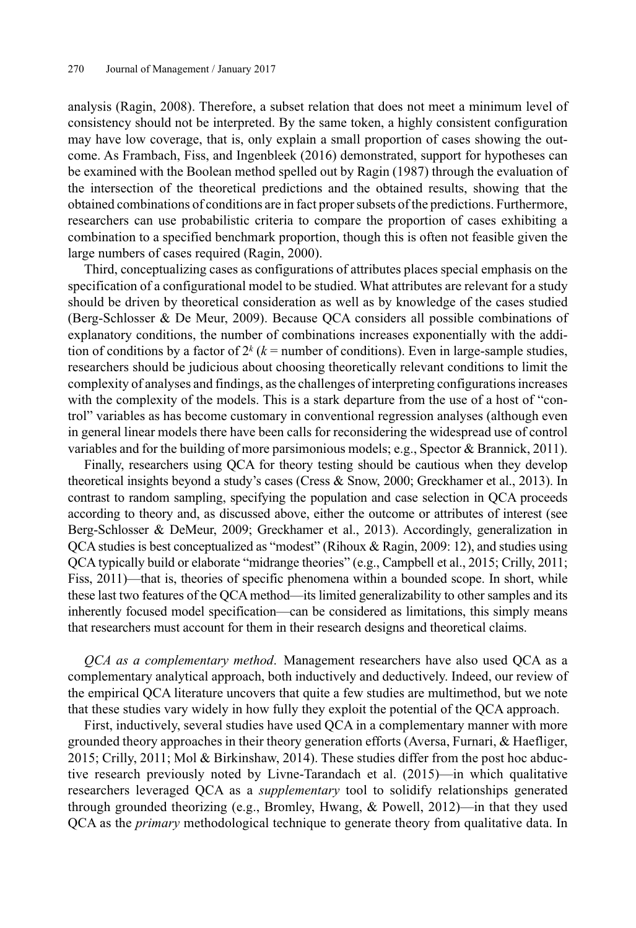analysis (Ragin, 2008). Therefore, a subset relation that does not meet a minimum level of consistency should not be interpreted. By the same token, a highly consistent configuration may have low coverage, that is, only explain a small proportion of cases showing the outcome. As Frambach, Fiss, and Ingenbleek (2016) demonstrated, support for hypotheses can be examined with the Boolean method spelled out by Ragin (1987) through the evaluation of the intersection of the theoretical predictions and the obtained results, showing that the obtained combinations of conditions are in fact proper subsets of the predictions. Furthermore, researchers can use probabilistic criteria to compare the proportion of cases exhibiting a combination to a specified benchmark proportion, though this is often not feasible given the large numbers of cases required (Ragin, 2000).

Third, conceptualizing cases as configurations of attributes places special emphasis on the specification of a configurational model to be studied. What attributes are relevant for a study should be driven by theoretical consideration as well as by knowledge of the cases studied (Berg-Schlosser & De Meur, 2009). Because QCA considers all possible combinations of explanatory conditions, the number of combinations increases exponentially with the addition of conditions by a factor of  $2^k$  ( $k$  = number of conditions). Even in large-sample studies, researchers should be judicious about choosing theoretically relevant conditions to limit the complexity of analyses and findings, as the challenges of interpreting configurations increases with the complexity of the models. This is a stark departure from the use of a host of "control" variables as has become customary in conventional regression analyses (although even in general linear models there have been calls for reconsidering the widespread use of control variables and for the building of more parsimonious models; e.g., Spector & Brannick, 2011).

Finally, researchers using QCA for theory testing should be cautious when they develop theoretical insights beyond a study's cases (Cress & Snow, 2000; Greckhamer et al., 2013). In contrast to random sampling, specifying the population and case selection in QCA proceeds according to theory and, as discussed above, either the outcome or attributes of interest (see Berg-Schlosser & DeMeur, 2009; Greckhamer et al., 2013). Accordingly, generalization in QCA studies is best conceptualized as "modest" (Rihoux & Ragin, 2009: 12), and studies using QCA typically build or elaborate "midrange theories" (e.g., Campbell et al., 2015; Crilly, 2011; Fiss, 2011)—that is, theories of specific phenomena within a bounded scope. In short, while these last two features of the QCA method—its limited generalizability to other samples and its inherently focused model specification—can be considered as limitations, this simply means that researchers must account for them in their research designs and theoretical claims.

*QCA as a complementary method*. Management researchers have also used QCA as a complementary analytical approach, both inductively and deductively. Indeed, our review of the empirical QCA literature uncovers that quite a few studies are multimethod, but we note that these studies vary widely in how fully they exploit the potential of the QCA approach.

First, inductively, several studies have used QCA in a complementary manner with more grounded theory approaches in their theory generation efforts (Aversa, Furnari, & Haefliger, 2015; Crilly, 2011; Mol & Birkinshaw, 2014). These studies differ from the post hoc abductive research previously noted by Livne-Tarandach et al. (2015)—in which qualitative researchers leveraged QCA as a *supplementary* tool to solidify relationships generated through grounded theorizing (e.g., Bromley, Hwang, & Powell, 2012)—in that they used QCA as the *primary* methodological technique to generate theory from qualitative data. In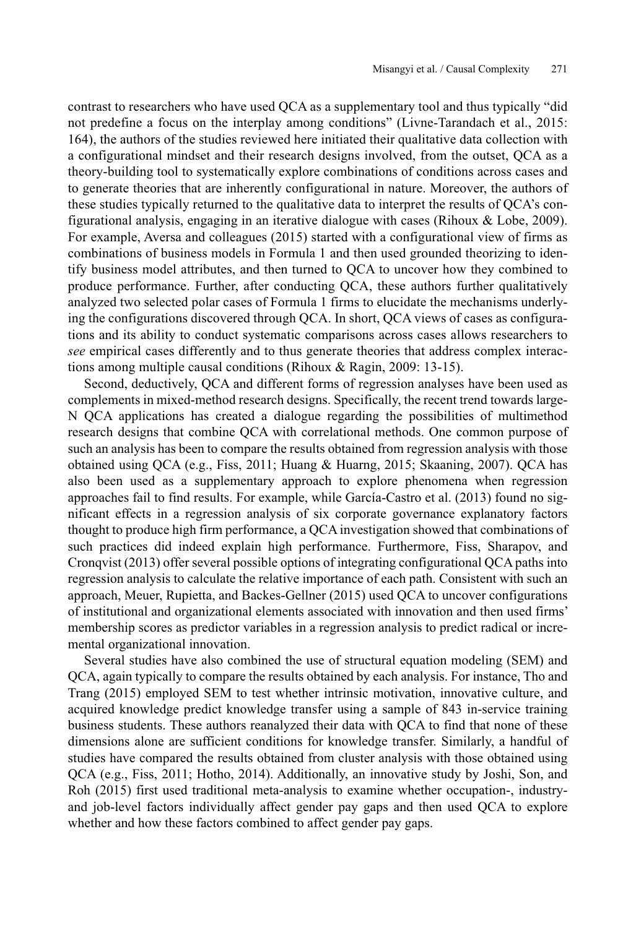contrast to researchers who have used QCA as a supplementary tool and thus typically "did not predefine a focus on the interplay among conditions" (Livne-Tarandach et al., 2015: 164), the authors of the studies reviewed here initiated their qualitative data collection with a configurational mindset and their research designs involved, from the outset, QCA as a theory-building tool to systematically explore combinations of conditions across cases and to generate theories that are inherently configurational in nature. Moreover, the authors of these studies typically returned to the qualitative data to interpret the results of QCA's configurational analysis, engaging in an iterative dialogue with cases (Rihoux & Lobe, 2009). For example, Aversa and colleagues (2015) started with a configurational view of firms as combinations of business models in Formula 1 and then used grounded theorizing to identify business model attributes, and then turned to QCA to uncover how they combined to produce performance. Further, after conducting QCA, these authors further qualitatively analyzed two selected polar cases of Formula 1 firms to elucidate the mechanisms underlying the configurations discovered through QCA. In short, QCA views of cases as configurations and its ability to conduct systematic comparisons across cases allows researchers to *see* empirical cases differently and to thus generate theories that address complex interactions among multiple causal conditions (Rihoux & Ragin, 2009: 13-15).

Second, deductively, QCA and different forms of regression analyses have been used as complements in mixed-method research designs. Specifically, the recent trend towards large-N QCA applications has created a dialogue regarding the possibilities of multimethod research designs that combine QCA with correlational methods. One common purpose of such an analysis has been to compare the results obtained from regression analysis with those obtained using QCA (e.g., Fiss, 2011; Huang & Huarng, 2015; Skaaning, 2007). QCA has also been used as a supplementary approach to explore phenomena when regression approaches fail to find results. For example, while García-Castro et al. (2013) found no significant effects in a regression analysis of six corporate governance explanatory factors thought to produce high firm performance, a QCA investigation showed that combinations of such practices did indeed explain high performance. Furthermore, Fiss, Sharapov, and Cronqvist (2013) offer several possible options of integrating configurational QCA paths into regression analysis to calculate the relative importance of each path. Consistent with such an approach, Meuer, Rupietta, and Backes-Gellner (2015) used QCA to uncover configurations of institutional and organizational elements associated with innovation and then used firms' membership scores as predictor variables in a regression analysis to predict radical or incremental organizational innovation.

Several studies have also combined the use of structural equation modeling (SEM) and QCA, again typically to compare the results obtained by each analysis. For instance, Tho and Trang (2015) employed SEM to test whether intrinsic motivation, innovative culture, and acquired knowledge predict knowledge transfer using a sample of 843 in-service training business students. These authors reanalyzed their data with QCA to find that none of these dimensions alone are sufficient conditions for knowledge transfer. Similarly, a handful of studies have compared the results obtained from cluster analysis with those obtained using QCA (e.g., Fiss, 2011; Hotho, 2014). Additionally, an innovative study by Joshi, Son, and Roh (2015) first used traditional meta-analysis to examine whether occupation-, industryand job-level factors individually affect gender pay gaps and then used QCA to explore whether and how these factors combined to affect gender pay gaps.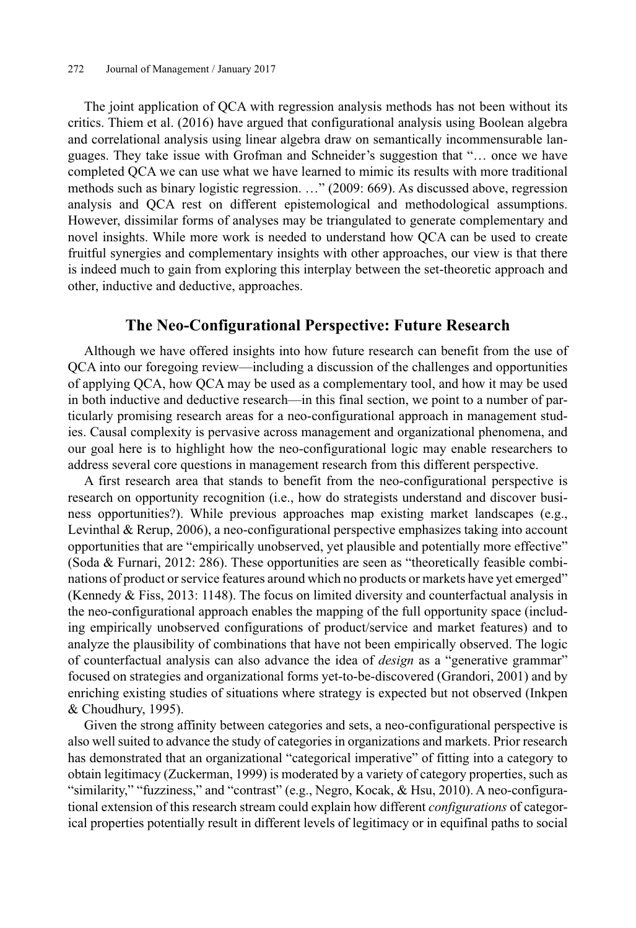The joint application of QCA with regression analysis methods has not been without its critics. Thiem et al. (2016) have argued that configurational analysis using Boolean algebra and correlational analysis using linear algebra draw on semantically incommensurable languages. They take issue with Grofman and Schneider's suggestion that "… once we have completed QCA we can use what we have learned to mimic its results with more traditional methods such as binary logistic regression. …" (2009: 669). As discussed above, regression analysis and QCA rest on different epistemological and methodological assumptions. However, dissimilar forms of analyses may be triangulated to generate complementary and novel insights. While more work is needed to understand how QCA can be used to create fruitful synergies and complementary insights with other approaches, our view is that there is indeed much to gain from exploring this interplay between the set-theoretic approach and other, inductive and deductive, approaches.

# **The Neo-Configurational Perspective: Future Research**

Although we have offered insights into how future research can benefit from the use of QCA into our foregoing review—including a discussion of the challenges and opportunities of applying QCA, how QCA may be used as a complementary tool, and how it may be used in both inductive and deductive research—in this final section, we point to a number of particularly promising research areas for a neo-configurational approach in management studies. Causal complexity is pervasive across management and organizational phenomena, and our goal here is to highlight how the neo-configurational logic may enable researchers to address several core questions in management research from this different perspective.

A first research area that stands to benefit from the neo-configurational perspective is research on opportunity recognition (i.e., how do strategists understand and discover business opportunities?). While previous approaches map existing market landscapes (e.g., Levinthal & Rerup, 2006), a neo-configurational perspective emphasizes taking into account opportunities that are "empirically unobserved, yet plausible and potentially more effective" (Soda & Furnari, 2012: 286). These opportunities are seen as "theoretically feasible combinations of product or service features around which no products or markets have yet emerged" (Kennedy & Fiss, 2013: 1148). The focus on limited diversity and counterfactual analysis in the neo-configurational approach enables the mapping of the full opportunity space (including empirically unobserved configurations of product/service and market features) and to analyze the plausibility of combinations that have not been empirically observed. The logic of counterfactual analysis can also advance the idea of *design* as a "generative grammar" focused on strategies and organizational forms yet-to-be-discovered (Grandori, 2001) and by enriching existing studies of situations where strategy is expected but not observed (Inkpen & Choudhury, 1995).

Given the strong affinity between categories and sets, a neo-configurational perspective is also well suited to advance the study of categories in organizations and markets. Prior research has demonstrated that an organizational "categorical imperative" of fitting into a category to obtain legitimacy (Zuckerman, 1999) is moderated by a variety of category properties, such as "similarity," "fuzziness," and "contrast" (e.g., Negro, Kocak, & Hsu, 2010). A neo-configurational extension of this research stream could explain how different *configurations* of categorical properties potentially result in different levels of legitimacy or in equifinal paths to social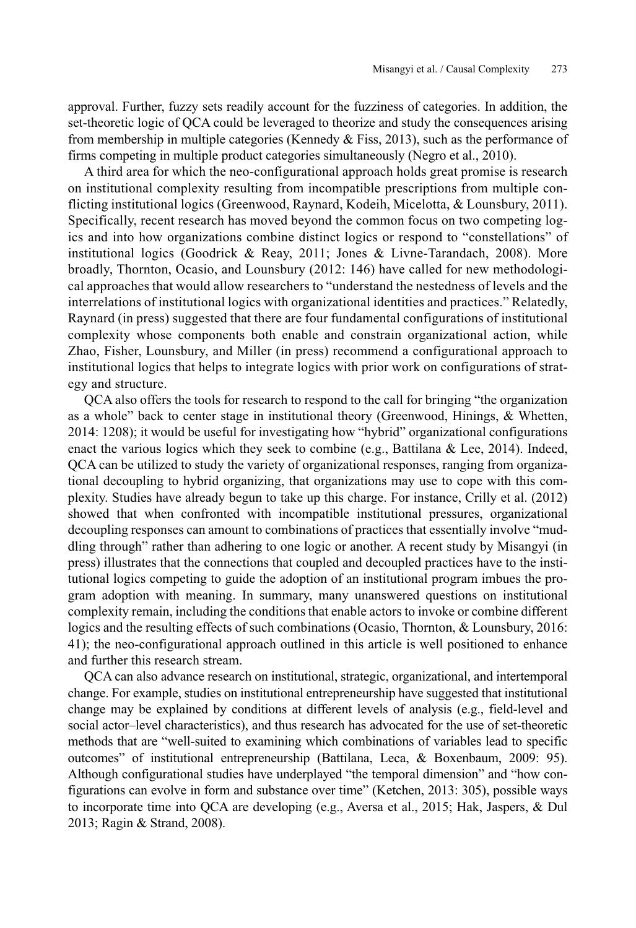approval. Further, fuzzy sets readily account for the fuzziness of categories. In addition, the set-theoretic logic of QCA could be leveraged to theorize and study the consequences arising from membership in multiple categories (Kennedy & Fiss, 2013), such as the performance of firms competing in multiple product categories simultaneously (Negro et al., 2010).

A third area for which the neo-configurational approach holds great promise is research on institutional complexity resulting from incompatible prescriptions from multiple conflicting institutional logics (Greenwood, Raynard, Kodeih, Micelotta, & Lounsbury, 2011). Specifically, recent research has moved beyond the common focus on two competing logics and into how organizations combine distinct logics or respond to "constellations" of institutional logics (Goodrick & Reay, 2011; Jones & Livne-Tarandach, 2008). More broadly, Thornton, Ocasio, and Lounsbury (2012: 146) have called for new methodological approaches that would allow researchers to "understand the nestedness of levels and the interrelations of institutional logics with organizational identities and practices." Relatedly, Raynard (in press) suggested that there are four fundamental configurations of institutional complexity whose components both enable and constrain organizational action, while Zhao, Fisher, Lounsbury, and Miller (in press) recommend a configurational approach to institutional logics that helps to integrate logics with prior work on configurations of strategy and structure.

QCA also offers the tools for research to respond to the call for bringing "the organization as a whole" back to center stage in institutional theory (Greenwood, Hinings, & Whetten, 2014: 1208); it would be useful for investigating how "hybrid" organizational configurations enact the various logics which they seek to combine (e.g., Battilana & Lee, 2014). Indeed, QCA can be utilized to study the variety of organizational responses, ranging from organizational decoupling to hybrid organizing, that organizations may use to cope with this complexity. Studies have already begun to take up this charge. For instance, Crilly et al. (2012) showed that when confronted with incompatible institutional pressures, organizational decoupling responses can amount to combinations of practices that essentially involve "muddling through" rather than adhering to one logic or another. A recent study by Misangyi (in press) illustrates that the connections that coupled and decoupled practices have to the institutional logics competing to guide the adoption of an institutional program imbues the program adoption with meaning. In summary, many unanswered questions on institutional complexity remain, including the conditions that enable actors to invoke or combine different logics and the resulting effects of such combinations (Ocasio, Thornton, & Lounsbury, 2016: 41); the neo-configurational approach outlined in this article is well positioned to enhance and further this research stream.

QCA can also advance research on institutional, strategic, organizational, and intertemporal change. For example, studies on institutional entrepreneurship have suggested that institutional change may be explained by conditions at different levels of analysis (e.g., field-level and social actor–level characteristics), and thus research has advocated for the use of set-theoretic methods that are "well-suited to examining which combinations of variables lead to specific outcomes" of institutional entrepreneurship (Battilana, Leca, & Boxenbaum, 2009: 95). Although configurational studies have underplayed "the temporal dimension" and "how configurations can evolve in form and substance over time" (Ketchen, 2013: 305), possible ways to incorporate time into QCA are developing (e.g., Aversa et al., 2015; Hak, Jaspers, & Dul 2013; Ragin & Strand, 2008).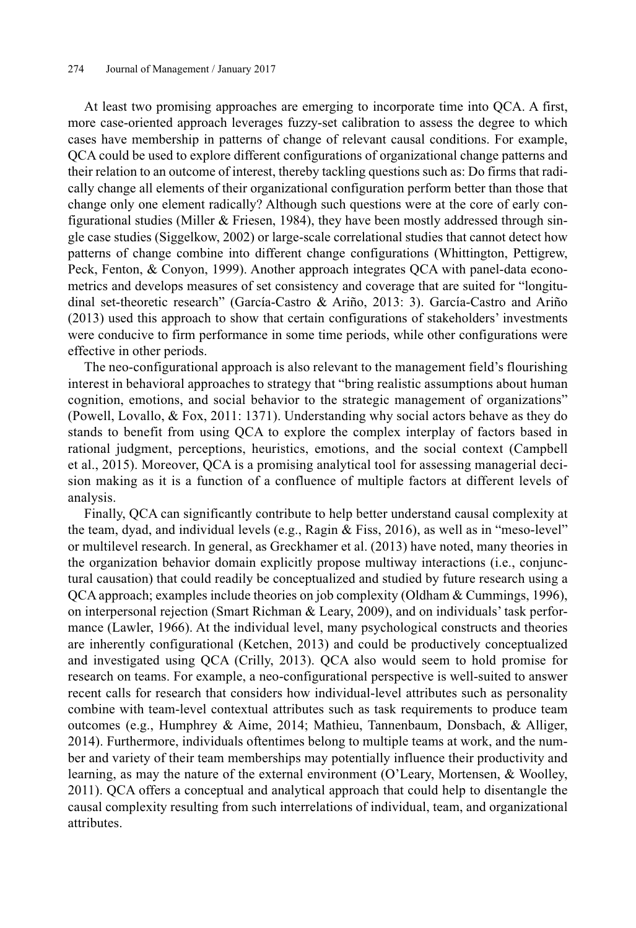At least two promising approaches are emerging to incorporate time into QCA. A first, more case-oriented approach leverages fuzzy-set calibration to assess the degree to which cases have membership in patterns of change of relevant causal conditions. For example, QCA could be used to explore different configurations of organizational change patterns and their relation to an outcome of interest, thereby tackling questions such as: Do firms that radically change all elements of their organizational configuration perform better than those that change only one element radically? Although such questions were at the core of early configurational studies (Miller & Friesen, 1984), they have been mostly addressed through single case studies (Siggelkow, 2002) or large-scale correlational studies that cannot detect how patterns of change combine into different change configurations (Whittington, Pettigrew, Peck, Fenton, & Conyon, 1999). Another approach integrates QCA with panel-data econometrics and develops measures of set consistency and coverage that are suited for "longitudinal set-theoretic research" (García-Castro & Ariño, 2013: 3). García-Castro and Ariño (2013) used this approach to show that certain configurations of stakeholders' investments were conducive to firm performance in some time periods, while other configurations were effective in other periods.

The neo-configurational approach is also relevant to the management field's flourishing interest in behavioral approaches to strategy that "bring realistic assumptions about human cognition, emotions, and social behavior to the strategic management of organizations" (Powell, Lovallo, & Fox, 2011: 1371). Understanding why social actors behave as they do stands to benefit from using QCA to explore the complex interplay of factors based in rational judgment, perceptions, heuristics, emotions, and the social context (Campbell et al., 2015). Moreover, QCA is a promising analytical tool for assessing managerial decision making as it is a function of a confluence of multiple factors at different levels of analysis.

Finally, QCA can significantly contribute to help better understand causal complexity at the team, dyad, and individual levels (e.g., Ragin & Fiss, 2016), as well as in "meso-level" or multilevel research. In general, as Greckhamer et al. (2013) have noted, many theories in the organization behavior domain explicitly propose multiway interactions (i.e., conjunctural causation) that could readily be conceptualized and studied by future research using a QCA approach; examples include theories on job complexity (Oldham  $&$  Cummings, 1996), on interpersonal rejection (Smart Richman & Leary, 2009), and on individuals' task performance (Lawler, 1966). At the individual level, many psychological constructs and theories are inherently configurational (Ketchen, 2013) and could be productively conceptualized and investigated using QCA (Crilly, 2013). QCA also would seem to hold promise for research on teams. For example, a neo-configurational perspective is well-suited to answer recent calls for research that considers how individual-level attributes such as personality combine with team-level contextual attributes such as task requirements to produce team outcomes (e.g., Humphrey & Aime, 2014; Mathieu, Tannenbaum, Donsbach, & Alliger, 2014). Furthermore, individuals oftentimes belong to multiple teams at work, and the number and variety of their team memberships may potentially influence their productivity and learning, as may the nature of the external environment (O'Leary, Mortensen, & Woolley, 2011). QCA offers a conceptual and analytical approach that could help to disentangle the causal complexity resulting from such interrelations of individual, team, and organizational attributes.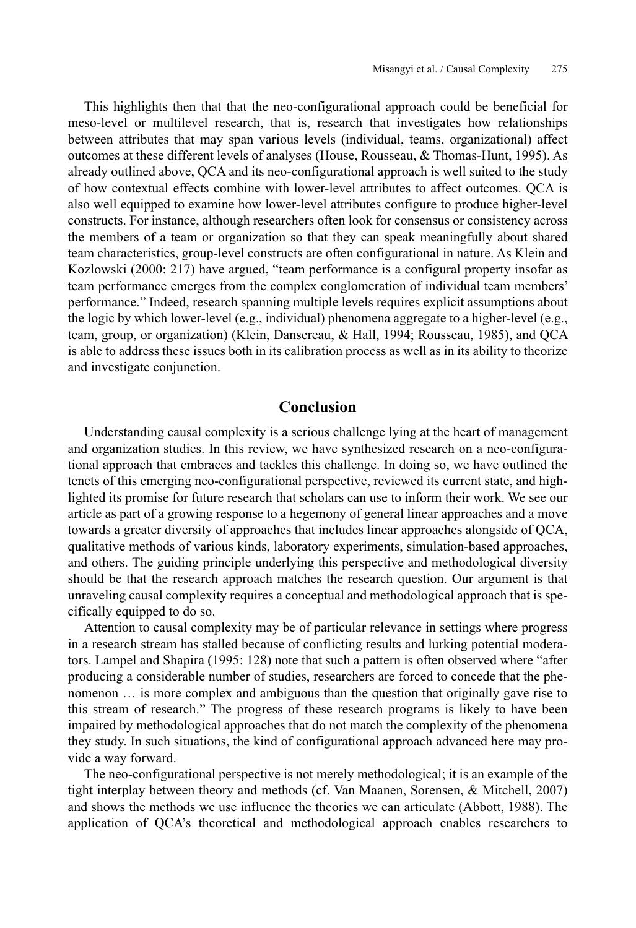This highlights then that that the neo-configurational approach could be beneficial for meso-level or multilevel research, that is, research that investigates how relationships between attributes that may span various levels (individual, teams, organizational) affect outcomes at these different levels of analyses (House, Rousseau, & Thomas-Hunt, 1995). As already outlined above, QCA and its neo-configurational approach is well suited to the study of how contextual effects combine with lower-level attributes to affect outcomes. QCA is also well equipped to examine how lower-level attributes configure to produce higher-level constructs. For instance, although researchers often look for consensus or consistency across the members of a team or organization so that they can speak meaningfully about shared team characteristics, group-level constructs are often configurational in nature. As Klein and Kozlowski (2000: 217) have argued, "team performance is a configural property insofar as team performance emerges from the complex conglomeration of individual team members' performance." Indeed, research spanning multiple levels requires explicit assumptions about the logic by which lower-level (e.g., individual) phenomena aggregate to a higher-level (e.g., team, group, or organization) (Klein, Dansereau, & Hall, 1994; Rousseau, 1985), and QCA is able to address these issues both in its calibration process as well as in its ability to theorize and investigate conjunction.

# **Conclusion**

Understanding causal complexity is a serious challenge lying at the heart of management and organization studies. In this review, we have synthesized research on a neo-configurational approach that embraces and tackles this challenge. In doing so, we have outlined the tenets of this emerging neo-configurational perspective, reviewed its current state, and highlighted its promise for future research that scholars can use to inform their work. We see our article as part of a growing response to a hegemony of general linear approaches and a move towards a greater diversity of approaches that includes linear approaches alongside of QCA, qualitative methods of various kinds, laboratory experiments, simulation-based approaches, and others. The guiding principle underlying this perspective and methodological diversity should be that the research approach matches the research question. Our argument is that unraveling causal complexity requires a conceptual and methodological approach that is specifically equipped to do so.

Attention to causal complexity may be of particular relevance in settings where progress in a research stream has stalled because of conflicting results and lurking potential moderators. Lampel and Shapira (1995: 128) note that such a pattern is often observed where "after producing a considerable number of studies, researchers are forced to concede that the phenomenon … is more complex and ambiguous than the question that originally gave rise to this stream of research." The progress of these research programs is likely to have been impaired by methodological approaches that do not match the complexity of the phenomena they study. In such situations, the kind of configurational approach advanced here may provide a way forward.

The neo-configurational perspective is not merely methodological; it is an example of the tight interplay between theory and methods (cf. Van Maanen, Sorensen, & Mitchell, 2007) and shows the methods we use influence the theories we can articulate (Abbott, 1988). The application of QCA's theoretical and methodological approach enables researchers to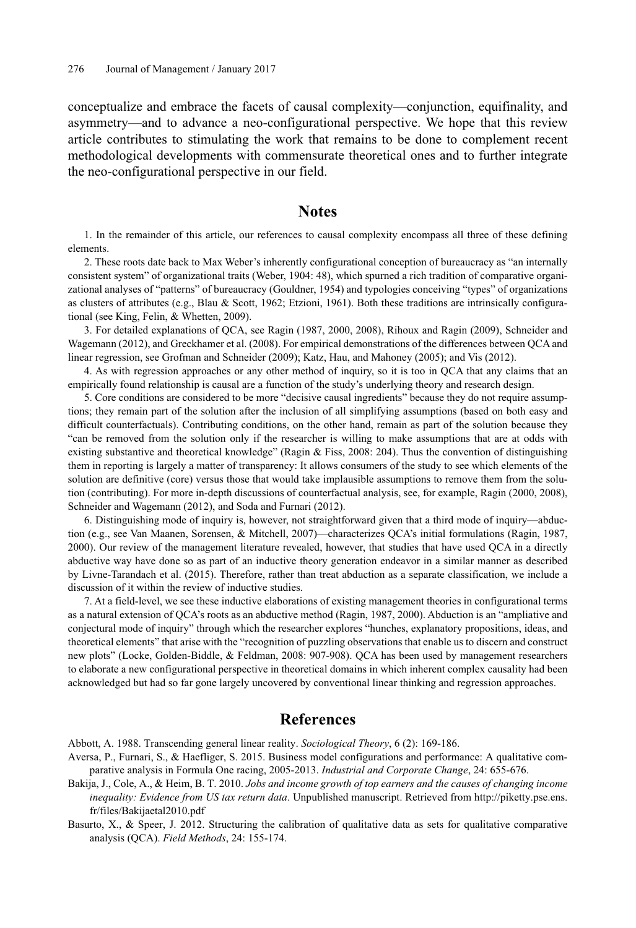conceptualize and embrace the facets of causal complexity—conjunction, equifinality, and asymmetry—and to advance a neo-configurational perspective. We hope that this review article contributes to stimulating the work that remains to be done to complement recent methodological developments with commensurate theoretical ones and to further integrate the neo-configurational perspective in our field.

## **Notes**

1. In the remainder of this article, our references to causal complexity encompass all three of these defining elements.

2. These roots date back to Max Weber's inherently configurational conception of bureaucracy as "an internally consistent system" of organizational traits (Weber, 1904: 48), which spurned a rich tradition of comparative organizational analyses of "patterns" of bureaucracy (Gouldner, 1954) and typologies conceiving "types" of organizations as clusters of attributes (e.g., Blau & Scott, 1962; Etzioni, 1961). Both these traditions are intrinsically configurational (see King, Felin, & Whetten, 2009).

3. For detailed explanations of QCA, see Ragin (1987, 2000, 2008), Rihoux and Ragin (2009), Schneider and Wagemann (2012), and Greckhamer et al. (2008). For empirical demonstrations of the differences between QCA and linear regression, see Grofman and Schneider (2009); Katz, Hau, and Mahoney (2005); and Vis (2012).

4. As with regression approaches or any other method of inquiry, so it is too in QCA that any claims that an empirically found relationship is causal are a function of the study's underlying theory and research design.

5. Core conditions are considered to be more "decisive causal ingredients" because they do not require assumptions; they remain part of the solution after the inclusion of all simplifying assumptions (based on both easy and difficult counterfactuals). Contributing conditions, on the other hand, remain as part of the solution because they "can be removed from the solution only if the researcher is willing to make assumptions that are at odds with existing substantive and theoretical knowledge" (Ragin & Fiss, 2008: 204). Thus the convention of distinguishing them in reporting is largely a matter of transparency: It allows consumers of the study to see which elements of the solution are definitive (core) versus those that would take implausible assumptions to remove them from the solution (contributing). For more in-depth discussions of counterfactual analysis, see, for example, Ragin (2000, 2008), Schneider and Wagemann (2012), and Soda and Furnari (2012).

6. Distinguishing mode of inquiry is, however, not straightforward given that a third mode of inquiry—abduction (e.g., see Van Maanen, Sorensen, & Mitchell, 2007)—characterizes QCA's initial formulations (Ragin, 1987, 2000). Our review of the management literature revealed, however, that studies that have used QCA in a directly abductive way have done so as part of an inductive theory generation endeavor in a similar manner as described by Livne-Tarandach et al. (2015). Therefore, rather than treat abduction as a separate classification, we include a discussion of it within the review of inductive studies.

7. At a field-level, we see these inductive elaborations of existing management theories in configurational terms as a natural extension of QCA's roots as an abductive method (Ragin, 1987, 2000). Abduction is an "ampliative and conjectural mode of inquiry" through which the researcher explores "hunches, explanatory propositions, ideas, and theoretical elements" that arise with the "recognition of puzzling observations that enable us to discern and construct new plots" (Locke, Golden-Biddle, & Feldman, 2008: 907-908). QCA has been used by management researchers to elaborate a new configurational perspective in theoretical domains in which inherent complex causality had been acknowledged but had so far gone largely uncovered by conventional linear thinking and regression approaches.

# **References**

Abbott, A. 1988. Transcending general linear reality. *Sociological Theory*, 6 (2): 169-186.

- Aversa, P., Furnari, S., & Haefliger, S. 2015. Business model configurations and performance: A qualitative comparative analysis in Formula One racing, 2005-2013. *Industrial and Corporate Change*, 24: 655-676.
- Bakija, J., Cole, A., & Heim, B. T. 2010. *Jobs and income growth of top earners and the causes of changing income inequality: Evidence from US tax return data*. Unpublished manuscript. Retrieved from [http://piketty.pse.ens.](http://piketty.pse.ens.fr/files/Bakijaetal2010.pdf) [fr/files/Bakijaetal2010.pdf](http://piketty.pse.ens.fr/files/Bakijaetal2010.pdf)

Basurto, X., & Speer, J. 2012. Structuring the calibration of qualitative data as sets for qualitative comparative analysis (QCA). *Field Methods*, 24: 155-174.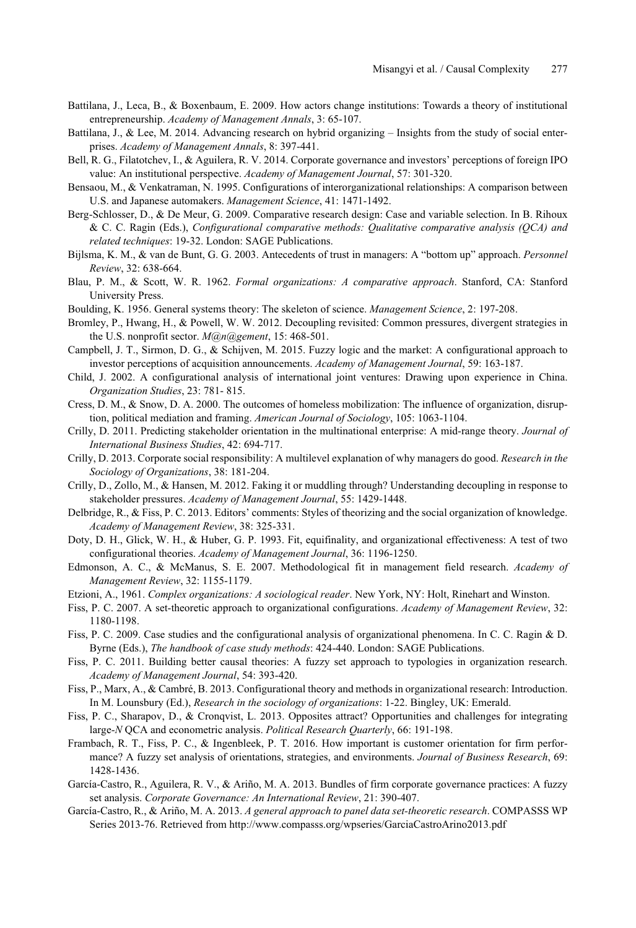- Battilana, J., Leca, B., & Boxenbaum, E. 2009. How actors change institutions: Towards a theory of institutional entrepreneurship. *Academy of Management Annals*, 3: 65-107.
- Battilana, J., & Lee, M. 2014. Advancing research on hybrid organizing Insights from the study of social enterprises. *Academy of Management Annals*, 8: 397-441.
- Bell, R. G., Filatotchev, I., & Aguilera, R. V. 2014. Corporate governance and investors' perceptions of foreign IPO value: An institutional perspective. *Academy of Management Journal*, 57: 301-320.
- Bensaou, M., & Venkatraman, N. 1995. Configurations of interorganizational relationships: A comparison between U.S. and Japanese automakers. *Management Science*, 41: 1471-1492.
- Berg-Schlosser, D., & De Meur, G. 2009. Comparative research design: Case and variable selection. In B. Rihoux & C. C. Ragin (Eds.), *Configurational comparative methods: Qualitative comparative analysis (QCA) and related techniques*: 19-32. London: SAGE Publications.
- Bijlsma, K. M., & van de Bunt, G. G. 2003. Antecedents of trust in managers: A "bottom up" approach. *Personnel Review*, 32: 638-664.
- Blau, P. M., & Scott, W. R. 1962. *Formal organizations: A comparative approach*. Stanford, CA: Stanford University Press.
- Boulding, K. 1956. General systems theory: The skeleton of science. *Management Science*, 2: 197-208.
- Bromley, P., Hwang, H., & Powell, W. W. 2012. Decoupling revisited: Common pressures, divergent strategies in the U.S. nonprofit sector. *M@n@gement*, 15: 468-501.
- Campbell, J. T., Sirmon, D. G., & Schijven, M. 2015. Fuzzy logic and the market: A configurational approach to investor perceptions of acquisition announcements. *Academy of Management Journal*, 59: 163-187.
- Child, J. 2002. A configurational analysis of international joint ventures: Drawing upon experience in China. *Organization Studies*, 23: 781- 815.
- Cress, D. M., & Snow, D. A. 2000. The outcomes of homeless mobilization: The influence of organization, disruption, political mediation and framing. *American Journal of Sociology*, 105: 1063-1104.
- Crilly, D. 2011. Predicting stakeholder orientation in the multinational enterprise: A mid-range theory. *Journal of International Business Studies*, 42: 694-717.
- Crilly, D. 2013. Corporate social responsibility: A multilevel explanation of why managers do good. *Research in the Sociology of Organizations*, 38: 181-204.
- Crilly, D., Zollo, M., & Hansen, M. 2012. Faking it or muddling through? Understanding decoupling in response to stakeholder pressures. *Academy of Management Journal*, 55: 1429-1448.
- Delbridge, R., & Fiss, P. C. 2013. Editors' comments: Styles of theorizing and the social organization of knowledge. *Academy of Management Review*, 38: 325-331.
- Doty, D. H., Glick, W. H., & Huber, G. P. 1993. Fit, equifinality, and organizational effectiveness: A test of two configurational theories. *Academy of Management Journal*, 36: 1196-1250.
- Edmonson, A. C., & McManus, S. E. 2007. Methodological fit in management field research. *Academy of Management Review*, 32: 1155-1179.
- Etzioni, A., 1961. *Complex organizations: A sociological reader*. New York, NY: Holt, Rinehart and Winston.
- Fiss, P. C. 2007. A set-theoretic approach to organizational configurations. *Academy of Management Review*, 32: 1180-1198.
- Fiss, P. C. 2009. Case studies and the configurational analysis of organizational phenomena. In C. C. Ragin & D. Byrne (Eds.), *The handbook of case study methods*: 424-440. London: SAGE Publications.
- Fiss, P. C. 2011. Building better causal theories: A fuzzy set approach to typologies in organization research. *Academy of Management Journal*, 54: 393-420.
- Fiss, P., Marx, A., & Cambré, B. 2013. Configurational theory and methods in organizational research: Introduction. In M. Lounsbury (Ed.), *Research in the sociology of organizations*: 1-22. Bingley, UK: Emerald.
- Fiss, P. C., Sharapov, D., & Cronqvist, L. 2013. Opposites attract? Opportunities and challenges for integrating large-*N* QCA and econometric analysis. *Political Research Quarterly*, 66: 191-198.
- Frambach, R. T., Fiss, P. C., & Ingenbleek, P. T. 2016. How important is customer orientation for firm performance? A fuzzy set analysis of orientations, strategies, and environments. *Journal of Business Research*, 69: 1428-1436.
- García-Castro, R., Aguilera, R. V., & Ariño, M. A. 2013. Bundles of firm corporate governance practices: A fuzzy set analysis. *Corporate Governance: An International Review*, 21: 390-407.
- García-Castro, R., & Ariño, M. A. 2013. *A general approach to panel data set-theoretic research*. COMPASSS WP Series 2013-76. Retrieved from <http://www.compasss.org/wpseries/GarciaCastroArino2013.pdf>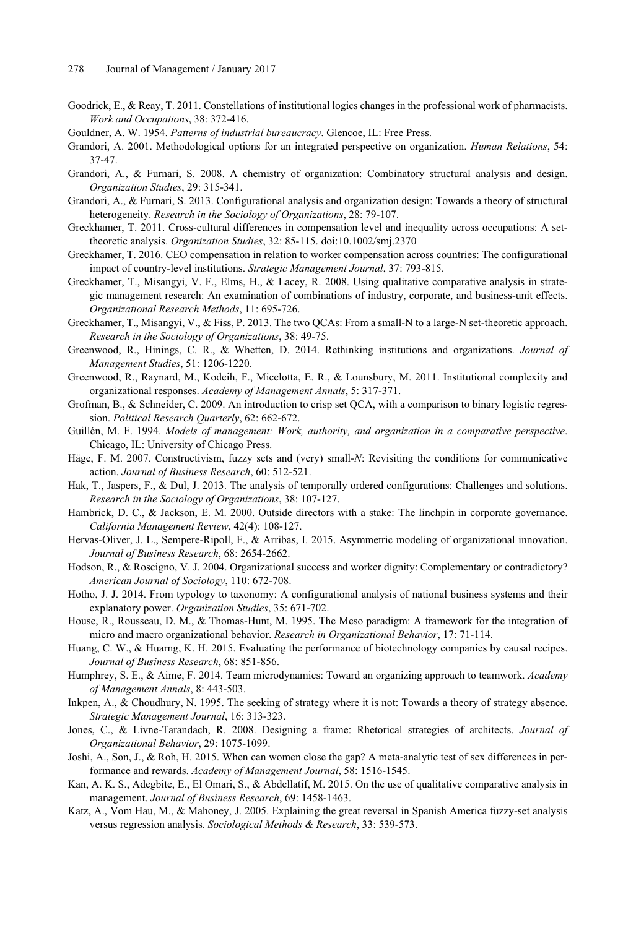- Goodrick, E., & Reay, T. 2011. Constellations of institutional logics changes in the professional work of pharmacists. *Work and Occupations*, 38: 372-416.
- Gouldner, A. W. 1954. *Patterns of industrial bureaucracy*. Glencoe, IL: Free Press.
- Grandori, A. 2001. Methodological options for an integrated perspective on organization. *Human Relations*, 54: 37-47.
- Grandori, A., & Furnari, S. 2008. A chemistry of organization: Combinatory structural analysis and design. *Organization Studies*, 29: 315-341.
- Grandori, A., & Furnari, S. 2013. Configurational analysis and organization design: Towards a theory of structural heterogeneity. *Research in the Sociology of Organizations*, 28: 79-107.
- Greckhamer, T. 2011. Cross-cultural differences in compensation level and inequality across occupations: A settheoretic analysis. *Organization Studies*, 32: 85-115. doi:10.1002/smj.2370
- Greckhamer, T. 2016. CEO compensation in relation to worker compensation across countries: The configurational impact of country-level institutions. *Strategic Management Journal*, 37: 793-815.
- Greckhamer, T., Misangyi, V. F., Elms, H., & Lacey, R. 2008. Using qualitative comparative analysis in strategic management research: An examination of combinations of industry, corporate, and business-unit effects. *Organizational Research Methods*, 11: 695-726.
- Greckhamer, T., Misangyi, V., & Fiss, P. 2013. The two QCAs: From a small-N to a large-N set-theoretic approach. *Research in the Sociology of Organizations*, 38: 49-75.
- Greenwood, R., Hinings, C. R., & Whetten, D. 2014. Rethinking institutions and organizations. *Journal of Management Studies*, 51: 1206-1220.
- Greenwood, R., Raynard, M., Kodeih, F., Micelotta, E. R., & Lounsbury, M. 2011. Institutional complexity and organizational responses. *Academy of Management Annals*, 5: 317-371.
- Grofman, B., & Schneider, C. 2009. An introduction to crisp set QCA, with a comparison to binary logistic regression. *Political Research Quarterly*, 62: 662-672.
- Guillén, M. F. 1994. *Models of management: Work, authority, and organization in a comparative perspective*. Chicago, IL: University of Chicago Press.
- Häge, F. M. 2007. Constructivism, fuzzy sets and (very) small-*N*: Revisiting the conditions for communicative action. *Journal of Business Research*, 60: 512-521.
- Hak, T., Jaspers, F., & Dul, J. 2013. The analysis of temporally ordered configurations: Challenges and solutions. *Research in the Sociology of Organizations*, 38: 107-127.
- Hambrick, D. C., & Jackson, E. M. 2000. Outside directors with a stake: The linchpin in corporate governance. *California Management Review*, 42(4): 108-127.
- Hervas-Oliver, J. L., Sempere-Ripoll, F., & Arribas, I. 2015. Asymmetric modeling of organizational innovation. *Journal of Business Research*, 68: 2654-2662.
- Hodson, R., & Roscigno, V. J. 2004. Organizational success and worker dignity: Complementary or contradictory? *American Journal of Sociology*, 110: 672-708.
- Hotho, J. J. 2014. From typology to taxonomy: A configurational analysis of national business systems and their explanatory power. *Organization Studies*, 35: 671-702.
- House, R., Rousseau, D. M., & Thomas-Hunt, M. 1995. The Meso paradigm: A framework for the integration of micro and macro organizational behavior. *Research in Organizational Behavior*, 17: 71-114.
- Huang, C. W., & Huarng, K. H. 2015. Evaluating the performance of biotechnology companies by causal recipes. *Journal of Business Research*, 68: 851-856.
- Humphrey, S. E., & Aime, F. 2014. Team microdynamics: Toward an organizing approach to teamwork. *Academy of Management Annals*, 8: 443-503.
- Inkpen, A., & Choudhury, N. 1995. The seeking of strategy where it is not: Towards a theory of strategy absence. *Strategic Management Journal*, 16: 313-323.
- Jones, C., & Livne-Tarandach, R. 2008. Designing a frame: Rhetorical strategies of architects. *Journal of Organizational Behavior*, 29: 1075-1099.
- Joshi, A., Son, J., & Roh, H. 2015. When can women close the gap? A meta-analytic test of sex differences in performance and rewards. *Academy of Management Journal*, 58: 1516-1545.
- Kan, A. K. S., Adegbite, E., El Omari, S., & Abdellatif, M. 2015. On the use of qualitative comparative analysis in management. *Journal of Business Research*, 69: 1458-1463.
- Katz, A., Vom Hau, M., & Mahoney, J. 2005. Explaining the great reversal in Spanish America fuzzy-set analysis versus regression analysis. *Sociological Methods & Research*, 33: 539-573.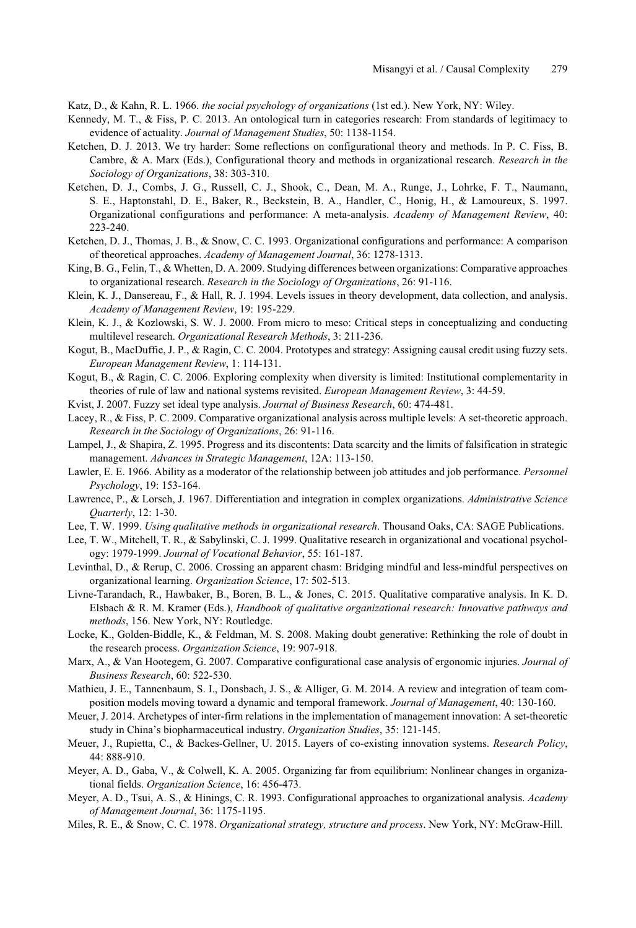Katz, D., & Kahn, R. L. 1966. *the social psychology of organizations* (1st ed.). New York, NY: Wiley.

- Kennedy, M. T., & Fiss, P. C. 2013. An ontological turn in categories research: From standards of legitimacy to evidence of actuality. *Journal of Management Studies*, 50: 1138-1154.
- Ketchen, D. J. 2013. We try harder: Some reflections on configurational theory and methods. In P. C. Fiss, B. Cambre, & A. Marx (Eds.), Configurational theory and methods in organizational research. *Research in the Sociology of Organizations*, 38: 303-310.
- Ketchen, D. J., Combs, J. G., Russell, C. J., Shook, C., Dean, M. A., Runge, J., Lohrke, F. T., Naumann, S. E., Haptonstahl, D. E., Baker, R., Beckstein, B. A., Handler, C., Honig, H., & Lamoureux, S. 1997. Organizational configurations and performance: A meta-analysis. *Academy of Management Review*, 40: 223-240.
- Ketchen, D. J., Thomas, J. B., & Snow, C. C. 1993. Organizational configurations and performance: A comparison of theoretical approaches. *Academy of Management Journal*, 36: 1278-1313.
- King, B. G., Felin, T., & Whetten, D. A. 2009. Studying differences between organizations: Comparative approaches to organizational research. *Research in the Sociology of Organizations*, 26: 91-116.
- Klein, K. J., Dansereau, F., & Hall, R. J. 1994. Levels issues in theory development, data collection, and analysis. *Academy of Management Review*, 19: 195-229.
- Klein, K. J., & Kozlowski, S. W. J. 2000. From micro to meso: Critical steps in conceptualizing and conducting multilevel research. *Organizational Research Methods*, 3: 211-236.
- Kogut, B., MacDuffie, J. P., & Ragin, C. C. 2004. Prototypes and strategy: Assigning causal credit using fuzzy sets. *European Management Review*, 1: 114-131.
- Kogut, B., & Ragin, C. C. 2006. Exploring complexity when diversity is limited: Institutional complementarity in theories of rule of law and national systems revisited. *European Management Review*, 3: 44-59.
- Kvist, J. 2007. Fuzzy set ideal type analysis. *Journal of Business Research*, 60: 474-481.
- Lacey, R., & Fiss, P. C. 2009. Comparative organizational analysis across multiple levels: A set-theoretic approach. *Research in the Sociology of Organizations*, 26: 91-116.
- Lampel, J., & Shapira, Z. 1995. Progress and its discontents: Data scarcity and the limits of falsification in strategic management. *Advances in Strategic Management*, 12A: 113-150.
- Lawler, E. E. 1966. Ability as a moderator of the relationship between job attitudes and job performance. *Personnel Psychology*, 19: 153-164.
- Lawrence, P., & Lorsch, J. 1967. Differentiation and integration in complex organizations. *Administrative Science Quarterly*, 12: 1-30.
- Lee, T. W. 1999. *Using qualitative methods in organizational research*. Thousand Oaks, CA: SAGE Publications.
- Lee, T. W., Mitchell, T. R., & Sabylinski, C. J. 1999. Qualitative research in organizational and vocational psychology: 1979-1999. *Journal of Vocational Behavior*, 55: 161-187.
- Levinthal, D., & Rerup, C. 2006. Crossing an apparent chasm: Bridging mindful and less-mindful perspectives on organizational learning. *Organization Science*, 17: 502-513.
- Livne-Tarandach, R., Hawbaker, B., Boren, B. L., & Jones, C. 2015. Qualitative comparative analysis. In K. D. Elsbach & R. M. Kramer (Eds.), *Handbook of qualitative organizational research: Innovative pathways and methods*, 156. New York, NY: Routledge.
- Locke, K., Golden-Biddle, K., & Feldman, M. S. 2008. Making doubt generative: Rethinking the role of doubt in the research process. *Organization Science*, 19: 907-918.
- Marx, A., & Van Hootegem, G. 2007. Comparative configurational case analysis of ergonomic injuries. *Journal of Business Research*, 60: 522-530.
- Mathieu, J. E., Tannenbaum, S. I., Donsbach, J. S., & Alliger, G. M. 2014. A review and integration of team composition models moving toward a dynamic and temporal framework. *Journal of Management*, 40: 130-160.
- Meuer, J. 2014. Archetypes of inter-firm relations in the implementation of management innovation: A set-theoretic study in China's biopharmaceutical industry. *Organization Studies*, 35: 121-145.
- Meuer, J., Rupietta, C., & Backes-Gellner, U. 2015. Layers of co-existing innovation systems. *Research Policy*, 44: 888-910.
- Meyer, A. D., Gaba, V., & Colwell, K. A. 2005. Organizing far from equilibrium: Nonlinear changes in organizational fields. *Organization Science*, 16: 456-473.
- Meyer, A. D., Tsui, A. S., & Hinings, C. R. 1993. Configurational approaches to organizational analysis. *Academy of Management Journal*, 36: 1175-1195.
- Miles, R. E., & Snow, C. C. 1978. *Organizational strategy, structure and process*. New York, NY: McGraw-Hill.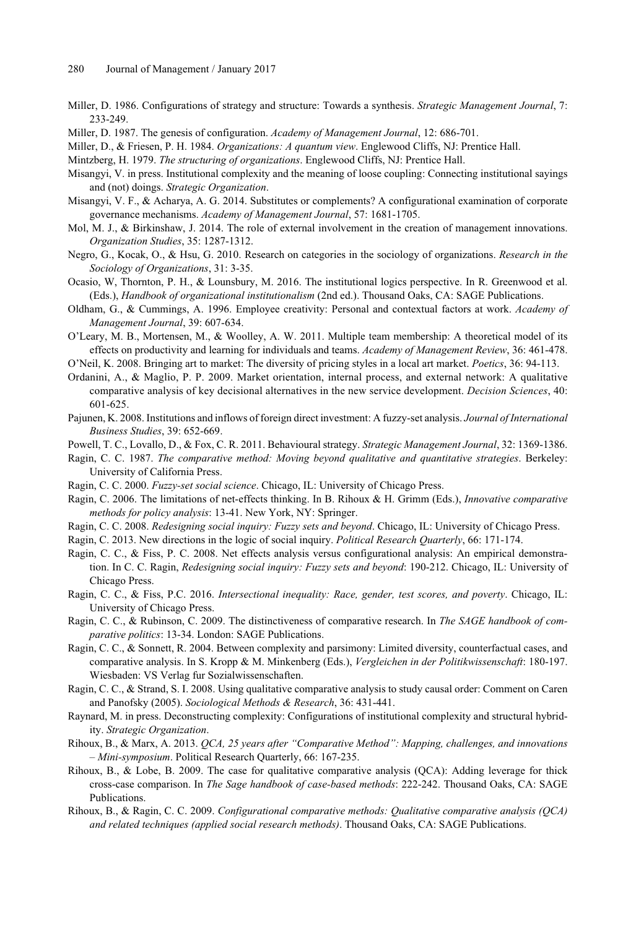- Miller, D. 1986. Configurations of strategy and structure: Towards a synthesis. *Strategic Management Journal*, 7: 233-249.
- Miller, D. 1987. The genesis of configuration. *Academy of Management Journal*, 12: 686-701.
- Miller, D., & Friesen, P. H. 1984. *Organizations: A quantum view*. Englewood Cliffs, NJ: Prentice Hall.
- Mintzberg, H. 1979. *The structuring of organizations*. Englewood Cliffs, NJ: Prentice Hall.
- Misangyi, V. in press. Institutional complexity and the meaning of loose coupling: Connecting institutional sayings and (not) doings. *Strategic Organization*.
- Misangyi, V. F., & Acharya, A. G. 2014. Substitutes or complements? A configurational examination of corporate governance mechanisms. *Academy of Management Journal*, 57: 1681-1705.
- Mol, M. J., & Birkinshaw, J. 2014. The role of external involvement in the creation of management innovations. *Organization Studies*, 35: 1287-1312.
- Negro, G., Kocak, O., & Hsu, G. 2010. Research on categories in the sociology of organizations. *Research in the Sociology of Organizations*, 31: 3-35.
- Ocasio, W, Thornton, P. H., & Lounsbury, M. 2016. The institutional logics perspective. In R. Greenwood et al. (Eds.), *Handbook of organizational institutionalism* (2nd ed.). Thousand Oaks, CA: SAGE Publications.
- Oldham, G., & Cummings, A. 1996. Employee creativity: Personal and contextual factors at work. *Academy of Management Journal*, 39: 607-634.
- O'Leary, M. B., Mortensen, M., & Woolley, A. W. 2011. Multiple team membership: A theoretical model of its effects on productivity and learning for individuals and teams. *Academy of Management Review*, 36: 461-478.
- O'Neil, K. 2008. Bringing art to market: The diversity of pricing styles in a local art market. *Poetics*, 36: 94-113.
- Ordanini, A., & Maglio, P. P. 2009. Market orientation, internal process, and external network: A qualitative comparative analysis of key decisional alternatives in the new service development. *Decision Sciences*, 40: 601-625.
- Pajunen, K. 2008. Institutions and inflows of foreign direct investment: A fuzzy-set analysis. *Journal of International Business Studies*, 39: 652-669.

Powell, T. C., Lovallo, D., & Fox, C. R. 2011. Behavioural strategy. *Strategic Management Journal*, 32: 1369-1386.

- Ragin, C. C. 1987. *The comparative method: Moving beyond qualitative and quantitative strategies*. Berkeley: University of California Press.
- Ragin, C. C. 2000. *Fuzzy-set social science*. Chicago, IL: University of Chicago Press.
- Ragin, C. 2006. The limitations of net-effects thinking. In B. Rihoux & H. Grimm (Eds.), *Innovative comparative methods for policy analysis*: 13-41. New York, NY: Springer.
- Ragin, C. C. 2008. *Redesigning social inquiry: Fuzzy sets and beyond*. Chicago, IL: University of Chicago Press.
- Ragin, C. 2013. New directions in the logic of social inquiry. *Political Research Quarterly*, 66: 171-174.
- Ragin, C. C., & Fiss, P. C. 2008. Net effects analysis versus configurational analysis: An empirical demonstration. In C. C. Ragin, *Redesigning social inquiry: Fuzzy sets and beyond*: 190-212. Chicago, IL: University of Chicago Press.
- Ragin, C. C., & Fiss, P.C. 2016. *Intersectional inequality: Race, gender, test scores, and poverty*. Chicago, IL: University of Chicago Press.
- Ragin, C. C., & Rubinson, C. 2009. The distinctiveness of comparative research. In *The SAGE handbook of comparative politics*: 13-34. London: SAGE Publications.
- Ragin, C. C., & Sonnett, R. 2004. Between complexity and parsimony: Limited diversity, counterfactual cases, and comparative analysis. In S. Kropp & M. Minkenberg (Eds.), *Vergleichen in der Politikwissenschaft*: 180-197. Wiesbaden: VS Verlag fur Sozialwissenschaften.
- Ragin, C. C., & Strand, S. I. 2008. Using qualitative comparative analysis to study causal order: Comment on Caren and Panofsky (2005). *Sociological Methods & Research*, 36: 431-441.
- Raynard, M. in press. Deconstructing complexity: Configurations of institutional complexity and structural hybridity. *Strategic Organization*.
- Rihoux, B., & Marx, A. 2013. *QCA, 25 years after "Comparative Method": Mapping, challenges, and innovations – Mini-symposium*. Political Research Quarterly, 66: 167-235.
- Rihoux, B., & Lobe, B. 2009. The case for qualitative comparative analysis (QCA): Adding leverage for thick cross-case comparison. In *The Sage handbook of case-based methods*: 222-242. Thousand Oaks, CA: SAGE Publications.
- Rihoux, B., & Ragin, C. C. 2009. *Configurational comparative methods: Qualitative comparative analysis (QCA) and related techniques (applied social research methods)*. Thousand Oaks, CA: SAGE Publications.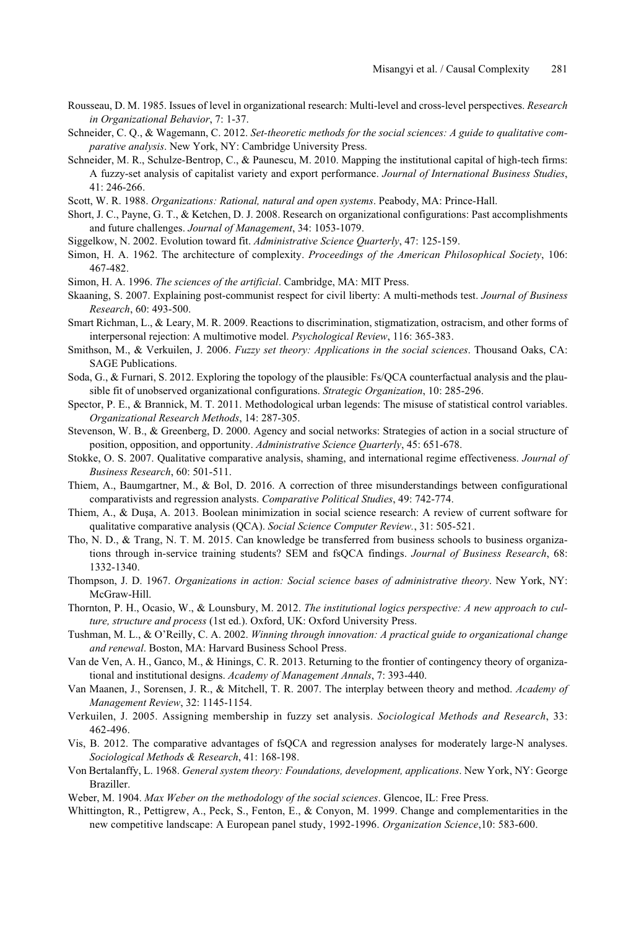- Rousseau, D. M. 1985. Issues of level in organizational research: Multi-level and cross-level perspectives. *Research in Organizational Behavior*, 7: 1-37.
- Schneider, C. Q., & Wagemann, C. 2012. *Set-theoretic methods for the social sciences: A guide to qualitative comparative analysis*. New York, NY: Cambridge University Press.
- Schneider, M. R., Schulze-Bentrop, C., & Paunescu, M. 2010. Mapping the institutional capital of high-tech firms: A fuzzy-set analysis of capitalist variety and export performance. *Journal of International Business Studies*, 41: 246-266.
- Scott, W. R. 1988. *Organizations: Rational, natural and open systems*. Peabody, MA: Prince-Hall.
- Short, J. C., Payne, G. T., & Ketchen, D. J. 2008. Research on organizational configurations: Past accomplishments and future challenges. *Journal of Management*, 34: 1053-1079.
- Siggelkow, N. 2002. Evolution toward fit. *Administrative Science Quarterly*, 47: 125-159.
- Simon, H. A. 1962. The architecture of complexity. *Proceedings of the American Philosophical Society*, 106: 467-482.
- Simon, H. A. 1996. *The sciences of the artificial*. Cambridge, MA: MIT Press.
- Skaaning, S. 2007. Explaining post-communist respect for civil liberty: A multi-methods test. *Journal of Business Research*, 60: 493-500.
- Smart Richman, L., & Leary, M. R. 2009. Reactions to discrimination, stigmatization, ostracism, and other forms of interpersonal rejection: A multimotive model. *Psychological Review*, 116: 365-383.
- Smithson, M., & Verkuilen, J. 2006. *Fuzzy set theory: Applications in the social sciences*. Thousand Oaks, CA: SAGE Publications.
- Soda, G., & Furnari, S. 2012. Exploring the topology of the plausible: Fs/QCA counterfactual analysis and the plausible fit of unobserved organizational configurations. *Strategic Organization*, 10: 285-296.
- Spector, P. E., & Brannick, M. T. 2011. Methodological urban legends: The misuse of statistical control variables. *Organizational Research Methods*, 14: 287-305.
- Stevenson, W. B., & Greenberg, D. 2000. Agency and social networks: Strategies of action in a social structure of position, opposition, and opportunity. *Administrative Science Quarterly*, 45: 651-678.
- Stokke, O. S. 2007. Qualitative comparative analysis, shaming, and international regime effectiveness. *Journal of Business Research*, 60: 501-511.
- Thiem, A., Baumgartner, M., & Bol, D. 2016. A correction of three misunderstandings between configurational comparativists and regression analysts. *Comparative Political Studies*, 49: 742-774.
- Thiem, A., & Duşa, A. 2013. Boolean minimization in social science research: A review of current software for qualitative comparative analysis (QCA). *Social Science Computer Review.*, 31: 505-521.
- Tho, N. D., & Trang, N. T. M. 2015. Can knowledge be transferred from business schools to business organizations through in-service training students? SEM and fsQCA findings. *Journal of Business Research*, 68: 1332-1340.
- Thompson, J. D. 1967. *Organizations in action: Social science bases of administrative theory*. New York, NY: McGraw-Hill.
- Thornton, P. H., Ocasio, W., & Lounsbury, M. 2012. *The institutional logics perspective: A new approach to culture, structure and process* (1st ed.). Oxford, UK: Oxford University Press.
- Tushman, M. L., & O'Reilly, C. A. 2002. *Winning through innovation: A practical guide to organizational change and renewal*. Boston, MA: Harvard Business School Press.
- Van de Ven, A. H., Ganco, M., & Hinings, C. R. 2013. Returning to the frontier of contingency theory of organizational and institutional designs. *Academy of Management Annals*, 7: 393-440.
- Van Maanen, J., Sorensen, J. R., & Mitchell, T. R. 2007. The interplay between theory and method. *Academy of Management Review*, 32: 1145-1154.
- Verkuilen, J. 2005. Assigning membership in fuzzy set analysis. *Sociological Methods and Research*, 33: 462-496.
- Vis, B. 2012. The comparative advantages of fsQCA and regression analyses for moderately large-N analyses. *Sociological Methods & Research*, 41: 168-198.
- Von Bertalanffy, L. 1968. *General system theory: Foundations, development, applications*. New York, NY: George Braziller.
- Weber, M. 1904. *Max Weber on the methodology of the social sciences*. Glencoe, IL: Free Press.
- Whittington, R., Pettigrew, A., Peck, S., Fenton, E., & Conyon, M. 1999. Change and complementarities in the new competitive landscape: A European panel study, 1992-1996. *Organization Science*,10: 583-600.